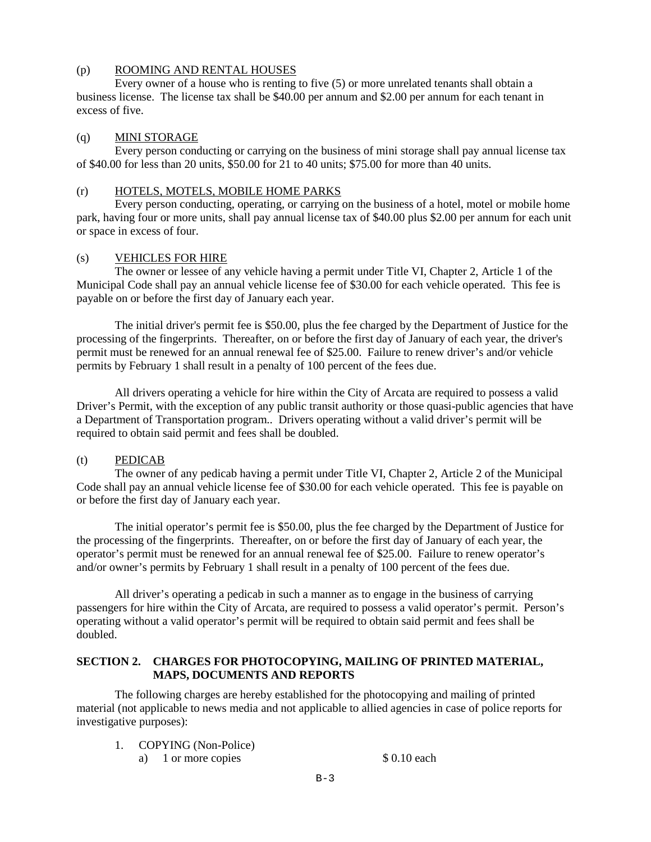# (p) ROOMING AND RENTAL HOUSES

 Every owner of a house who is renting to five (5) or more unrelated tenants shall obtain a business license. The license tax shall be \$40.00 per annum and \$2.00 per annum for each tenant in excess of five.

# (q) MINI STORAGE

 Every person conducting or carrying on the business of mini storage shall pay annual license tax of \$40.00 for less than 20 units, \$50.00 for 21 to 40 units; \$75.00 for more than 40 units.

### (r) HOTELS, MOTELS, MOBILE HOME PARKS

 Every person conducting, operating, or carrying on the business of a hotel, motel or mobile home park, having four or more units, shall pay annual license tax of \$40.00 plus \$2.00 per annum for each unit or space in excess of four.

# (s) VEHICLES FOR HIRE

The owner or lessee of any vehicle having a permit under Title VI, Chapter 2, Article 1 of the Municipal Code shall pay an annual vehicle license fee of \$30.00 for each vehicle operated. This fee is payable on or before the first day of January each year.

The initial driver's permit fee is \$50.00, plus the fee charged by the Department of Justice for the processing of the fingerprints. Thereafter, on or before the first day of January of each year, the driver's permit must be renewed for an annual renewal fee of \$25.00. Failure to renew driver's and/or vehicle permits by February 1 shall result in a penalty of 100 percent of the fees due.

All drivers operating a vehicle for hire within the City of Arcata are required to possess a valid Driver's Permit, with the exception of any public transit authority or those quasi-public agencies that have a Department of Transportation program.. Drivers operating without a valid driver's permit will be required to obtain said permit and fees shall be doubled.

# (t) PEDICAB

The owner of any pedicab having a permit under Title VI, Chapter 2, Article 2 of the Municipal Code shall pay an annual vehicle license fee of \$30.00 for each vehicle operated. This fee is payable on or before the first day of January each year.

The initial operator's permit fee is \$50.00, plus the fee charged by the Department of Justice for the processing of the fingerprints. Thereafter, on or before the first day of January of each year, the operator's permit must be renewed for an annual renewal fee of \$25.00. Failure to renew operator's and/or owner's permits by February 1 shall result in a penalty of 100 percent of the fees due.

All driver's operating a pedicab in such a manner as to engage in the business of carrying passengers for hire within the City of Arcata, are required to possess a valid operator's permit. Person's operating without a valid operator's permit will be required to obtain said permit and fees shall be doubled.

# **SECTION 2. CHARGES FOR PHOTOCOPYING, MAILING OF PRINTED MATERIAL, MAPS, DOCUMENTS AND REPORTS**

 The following charges are hereby established for the photocopying and mailing of printed material (not applicable to news media and not applicable to allied agencies in case of police reports for investigative purposes):

- 1. COPYING (Non-Police)
	- a) 1 or more copies  $$ 0.10$  each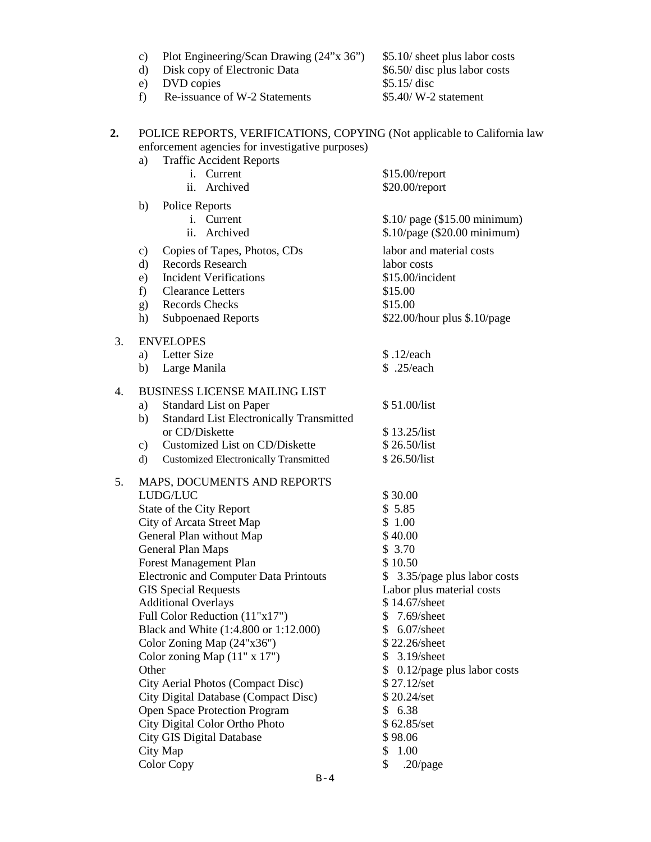|                  | c)<br>$\rm d$<br>e)<br>f) | Plot Engineering/Scan Drawing (24"x 36")<br>Disk copy of Electronic Data<br>DVD copies<br>Re-issuance of W-2 Statements                                         | \$5.10/ sheet plus labor costs<br>\$6.50/ disc plus labor costs<br>\$5.15/disc<br>$$5.40/M-2$ statement |
|------------------|---------------------------|-----------------------------------------------------------------------------------------------------------------------------------------------------------------|---------------------------------------------------------------------------------------------------------|
| 2.               | a)                        | POLICE REPORTS, VERIFICATIONS, COPYING (Not applicable to California law<br>enforcement agencies for investigative purposes)<br><b>Traffic Accident Reports</b> |                                                                                                         |
|                  |                           | i. Current<br>ii. Archived                                                                                                                                      | $$15.00$ /report<br>\$20.00/report                                                                      |
|                  | b)                        | Police Reports                                                                                                                                                  |                                                                                                         |
|                  |                           | i. Current<br>ii. Archived                                                                                                                                      | \$.10/ page (\$15.00 minimum)<br>\$.10/page (\$20.00 minimum)                                           |
|                  |                           |                                                                                                                                                                 | labor and material costs                                                                                |
|                  | c)<br>$\mathbf{d}$        | Copies of Tapes, Photos, CDs<br>Records Research                                                                                                                | labor costs                                                                                             |
|                  | e)                        | <b>Incident Verifications</b>                                                                                                                                   | \$15.00/incident                                                                                        |
|                  | $f$ )                     | <b>Clearance Letters</b>                                                                                                                                        | \$15.00                                                                                                 |
|                  | (g)                       | <b>Records Checks</b>                                                                                                                                           | \$15.00                                                                                                 |
|                  | h)                        | <b>Subpoenaed Reports</b>                                                                                                                                       | \$22.00/hour plus \$.10/page                                                                            |
|                  |                           |                                                                                                                                                                 |                                                                                                         |
| 3.               |                           | <b>ENVELOPES</b>                                                                                                                                                |                                                                                                         |
|                  | a)                        | Letter Size                                                                                                                                                     | \$.12/each<br>\$ .25/each                                                                               |
|                  | b)                        | Large Manila                                                                                                                                                    |                                                                                                         |
| $\overline{4}$ . |                           | <b>BUSINESS LICENSE MAILING LIST</b>                                                                                                                            |                                                                                                         |
|                  | a)                        | <b>Standard List on Paper</b>                                                                                                                                   | \$51.00/list                                                                                            |
|                  | b)                        | <b>Standard List Electronically Transmitted</b>                                                                                                                 |                                                                                                         |
|                  |                           | or CD/Diskette                                                                                                                                                  | \$13.25/list                                                                                            |
|                  | $\mathbf{c})$             | Customized List on CD/Diskette                                                                                                                                  | \$26.50/list                                                                                            |
|                  | d)                        | <b>Customized Electronically Transmitted</b>                                                                                                                    | \$26.50/list                                                                                            |
| 5.               |                           | MAPS, DOCUMENTS AND REPORTS                                                                                                                                     |                                                                                                         |
|                  |                           | LUDG/LUC                                                                                                                                                        | \$30.00                                                                                                 |
|                  |                           | State of the City Report                                                                                                                                        | \$5.85                                                                                                  |
|                  |                           | City of Arcata Street Map                                                                                                                                       | \$1.00                                                                                                  |
|                  |                           | General Plan without Map                                                                                                                                        | \$40.00                                                                                                 |
|                  |                           | General Plan Maps                                                                                                                                               | \$3.70                                                                                                  |
|                  |                           | <b>Forest Management Plan</b>                                                                                                                                   | \$10.50                                                                                                 |
|                  |                           | <b>Electronic and Computer Data Printouts</b>                                                                                                                   | \$ 3.35/page plus labor costs                                                                           |
|                  |                           | <b>GIS Special Requests</b>                                                                                                                                     | Labor plus material costs                                                                               |
|                  |                           | <b>Additional Overlays</b>                                                                                                                                      | \$14.67/sheet                                                                                           |
|                  |                           | Full Color Reduction (11"x17")                                                                                                                                  | $7.69$ /sheet<br>\$                                                                                     |
|                  |                           | Black and White (1:4.800 or 1:12.000)                                                                                                                           | $6.07$ /sheet<br>\$                                                                                     |
|                  |                           | Color Zoning Map $(24"x36")$                                                                                                                                    | \$22.26/sheet                                                                                           |
|                  |                           | Color zoning Map $(11" x 17")$                                                                                                                                  | $3.19$ /sheet<br>S                                                                                      |
|                  | Other                     |                                                                                                                                                                 | \$ 0.12/page plus labor costs                                                                           |
|                  |                           | City Aerial Photos (Compact Disc)                                                                                                                               | \$27.12/set                                                                                             |
|                  |                           | City Digital Database (Compact Disc)                                                                                                                            | \$20.24/set                                                                                             |
|                  |                           | <b>Open Space Protection Program</b>                                                                                                                            | \$6.38<br>\$62.85/set                                                                                   |
|                  |                           | City Digital Color Ortho Photo<br>City GIS Digital Database                                                                                                     | \$98.06                                                                                                 |
|                  |                           | City Map                                                                                                                                                        | \$<br>1.00                                                                                              |
|                  |                           | <b>Color Copy</b>                                                                                                                                               | $.20$ /page<br>\$                                                                                       |
|                  |                           |                                                                                                                                                                 |                                                                                                         |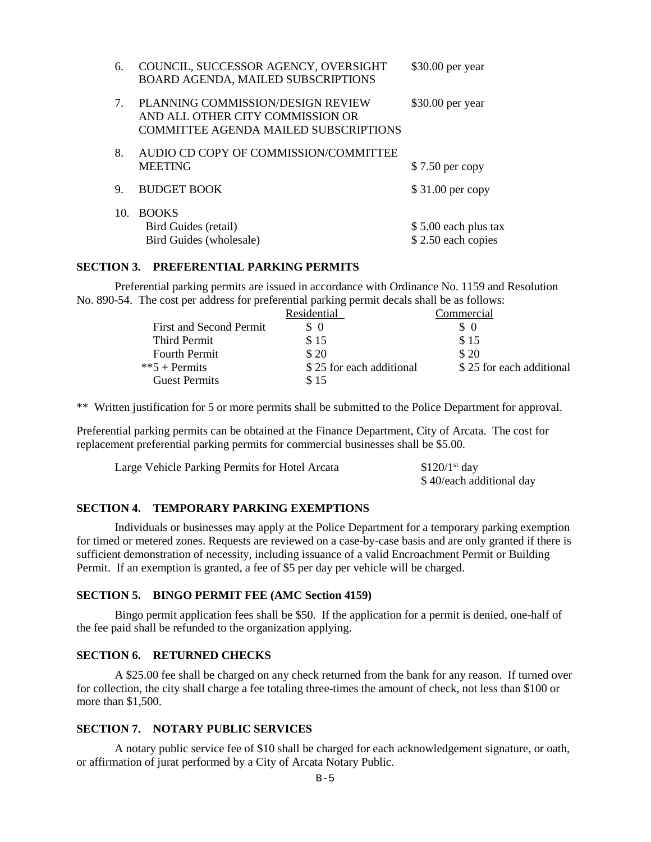| 6.                               | COUNCIL, SUCCESSOR AGENCY, OVERSIGHT<br>BOARD AGENDA, MAILED SUBSCRIPTIONS                                            | \$30.00 per year                           |
|----------------------------------|-----------------------------------------------------------------------------------------------------------------------|--------------------------------------------|
| $7_{\scriptscriptstyle{\ddots}}$ | PLANNING COMMISSION/DESIGN REVIEW<br>AND ALL OTHER CITY COMMISSION OR<br><b>COMMITTEE AGENDA MAILED SUBSCRIPTIONS</b> | $$30.00$ per year                          |
| 8.                               | AUDIO CD COPY OF COMMISSION/COMMITTEE<br><b>MEETING</b>                                                               | \$7.50 per copy                            |
| 9.                               | <b>BUDGET BOOK</b>                                                                                                    | $$31.00$ per copy                          |
| 10.                              | <b>BOOKS</b><br>Bird Guides (retail)<br>Bird Guides (wholesale)                                                       | \$5.00 each plus tax<br>\$2.50 each copies |

#### **SECTION 3. PREFERENTIAL PARKING PERMITS**

 Preferential parking permits are issued in accordance with Ordinance No. 1159 and Resolution No. 890-54. The cost per address for preferential parking permit decals shall be as follows:

|                         | Residential              | Commercial               |
|-------------------------|--------------------------|--------------------------|
| First and Second Permit | $\Omega$                 | $\Omega$                 |
| Third Permit            | \$15                     | \$15                     |
| <b>Fourth Permit</b>    | \$20                     | \$20                     |
| $**5 + Permits$         | \$25 for each additional | \$25 for each additional |
| <b>Guest Permits</b>    | \$15                     |                          |

\*\* Written justification for 5 or more permits shall be submitted to the Police Department for approval.

Preferential parking permits can be obtained at the Finance Department, City of Arcata. The cost for replacement preferential parking permits for commercial businesses shall be \$5.00.

| Large Vehicle Parking Permits for Hotel Arcata | $$120/1st$ day           |
|------------------------------------------------|--------------------------|
|                                                | \$40/each additional day |

### **SECTION 4. TEMPORARY PARKING EXEMPTIONS**

Individuals or businesses may apply at the Police Department for a temporary parking exemption for timed or metered zones. Requests are reviewed on a case-by-case basis and are only granted if there is sufficient demonstration of necessity, including issuance of a valid Encroachment Permit or Building Permit. If an exemption is granted, a fee of \$5 per day per vehicle will be charged.

#### **SECTION 5. BINGO PERMIT FEE (AMC Section 4159)**

 Bingo permit application fees shall be \$50. If the application for a permit is denied, one-half of the fee paid shall be refunded to the organization applying.

### **SECTION 6. RETURNED CHECKS**

 A \$25.00 fee shall be charged on any check returned from the bank for any reason. If turned over for collection, the city shall charge a fee totaling three-times the amount of check, not less than \$100 or more than \$1,500.

# **SECTION 7. NOTARY PUBLIC SERVICES**

 A notary public service fee of \$10 shall be charged for each acknowledgement signature, or oath, or affirmation of jurat performed by a City of Arcata Notary Public.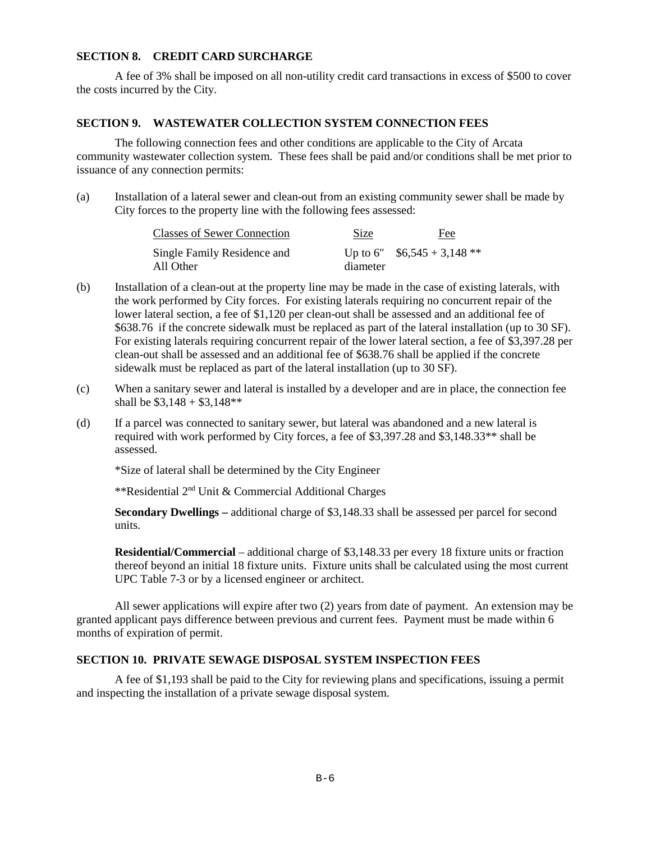### **SECTION 8. CREDIT CARD SURCHARGE**

A fee of 3% shall be imposed on all non-utility credit card transactions in excess of \$500 to cover the costs incurred by the City.

### **SECTION 9. WASTEWATER COLLECTION SYSTEM CONNECTION FEES**

 The following connection fees and other conditions are applicable to the City of Arcata community wastewater collection system. These fees shall be paid and/or conditions shall be met prior to issuance of any connection permits:

(a) Installation of a lateral sewer and clean-out from an existing community sewer shall be made by City forces to the property line with the following fees assessed:

| <b>Classes of Sewer Connection</b>       | Size     | <u>Fee</u>                   |
|------------------------------------------|----------|------------------------------|
| Single Family Residence and<br>All Other | diameter | Up to 6" $$6,545 + 3,148 **$ |

- (b) Installation of a clean-out at the property line may be made in the case of existing laterals, with the work performed by City forces. For existing laterals requiring no concurrent repair of the lower lateral section, a fee of \$1,120 per clean-out shall be assessed and an additional fee of \$638.76 if the concrete sidewalk must be replaced as part of the lateral installation (up to 30 SF). For existing laterals requiring concurrent repair of the lower lateral section, a fee of \$3,397.28 per clean-out shall be assessed and an additional fee of \$638.76 shall be applied if the concrete sidewalk must be replaced as part of the lateral installation (up to 30 SF).
- (c) When a sanitary sewer and lateral is installed by a developer and are in place, the connection fee shall be  $$3,148 + $3,148**$
- (d) If a parcel was connected to sanitary sewer, but lateral was abandoned and a new lateral is required with work performed by City forces, a fee of \$3,397.28 and \$3,148.33\*\* shall be assessed.

\*Size of lateral shall be determined by the City Engineer

\*\*Residential 2nd Unit & Commercial Additional Charges

**Secondary Dwellings –** additional charge of \$3,148.33 shall be assessed per parcel for second units.

**Residential/Commercial** – additional charge of \$3,148.33 per every 18 fixture units or fraction thereof beyond an initial 18 fixture units. Fixture units shall be calculated using the most current UPC Table 7-3 or by a licensed engineer or architect.

All sewer applications will expire after two (2) years from date of payment. An extension may be granted applicant pays difference between previous and current fees. Payment must be made within 6 months of expiration of permit.

# **SECTION 10. PRIVATE SEWAGE DISPOSAL SYSTEM INSPECTION FEES**

A fee of \$1,193 shall be paid to the City for reviewing plans and specifications, issuing a permit and inspecting the installation of a private sewage disposal system.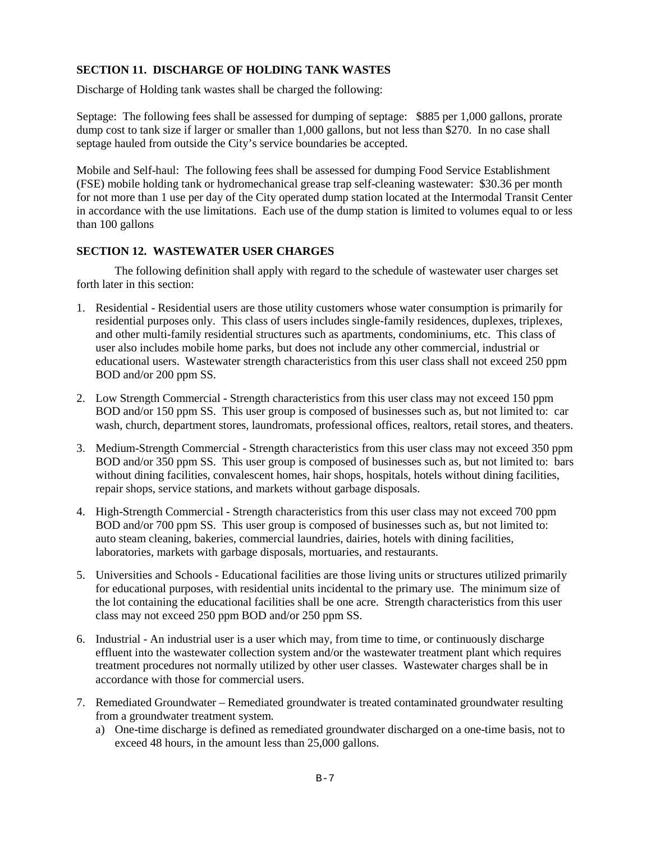# **SECTION 11. DISCHARGE OF HOLDING TANK WASTES**

Discharge of Holding tank wastes shall be charged the following:

Septage: The following fees shall be assessed for dumping of septage: \$885 per 1,000 gallons, prorate dump cost to tank size if larger or smaller than 1,000 gallons, but not less than \$270. In no case shall septage hauled from outside the City's service boundaries be accepted.

Mobile and Self-haul: The following fees shall be assessed for dumping Food Service Establishment (FSE) mobile holding tank or hydromechanical grease trap self-cleaning wastewater: \$30.36 per month for not more than 1 use per day of the City operated dump station located at the Intermodal Transit Center in accordance with the use limitations. Each use of the dump station is limited to volumes equal to or less than 100 gallons

### **SECTION 12. WASTEWATER USER CHARGES**

 The following definition shall apply with regard to the schedule of wastewater user charges set forth later in this section:

- 1. Residential Residential users are those utility customers whose water consumption is primarily for residential purposes only. This class of users includes single-family residences, duplexes, triplexes, and other multi-family residential structures such as apartments, condominiums, etc. This class of user also includes mobile home parks, but does not include any other commercial, industrial or educational users. Wastewater strength characteristics from this user class shall not exceed 250 ppm BOD and/or 200 ppm SS.
- 2. Low Strength Commercial Strength characteristics from this user class may not exceed 150 ppm BOD and/or 150 ppm SS. This user group is composed of businesses such as, but not limited to: car wash, church, department stores, laundromats, professional offices, realtors, retail stores, and theaters.
- 3. Medium-Strength Commercial Strength characteristics from this user class may not exceed 350 ppm BOD and/or 350 ppm SS. This user group is composed of businesses such as, but not limited to: bars without dining facilities, convalescent homes, hair shops, hospitals, hotels without dining facilities, repair shops, service stations, and markets without garbage disposals.
- 4. High-Strength Commercial Strength characteristics from this user class may not exceed 700 ppm BOD and/or 700 ppm SS. This user group is composed of businesses such as, but not limited to: auto steam cleaning, bakeries, commercial laundries, dairies, hotels with dining facilities, laboratories, markets with garbage disposals, mortuaries, and restaurants.
- 5. Universities and Schools Educational facilities are those living units or structures utilized primarily for educational purposes, with residential units incidental to the primary use. The minimum size of the lot containing the educational facilities shall be one acre. Strength characteristics from this user class may not exceed 250 ppm BOD and/or 250 ppm SS.
- 6. Industrial An industrial user is a user which may, from time to time, or continuously discharge effluent into the wastewater collection system and/or the wastewater treatment plant which requires treatment procedures not normally utilized by other user classes. Wastewater charges shall be in accordance with those for commercial users.
- 7. Remediated Groundwater Remediated groundwater is treated contaminated groundwater resulting from a groundwater treatment system.
	- a) One-time discharge is defined as remediated groundwater discharged on a one-time basis, not to exceed 48 hours, in the amount less than 25,000 gallons.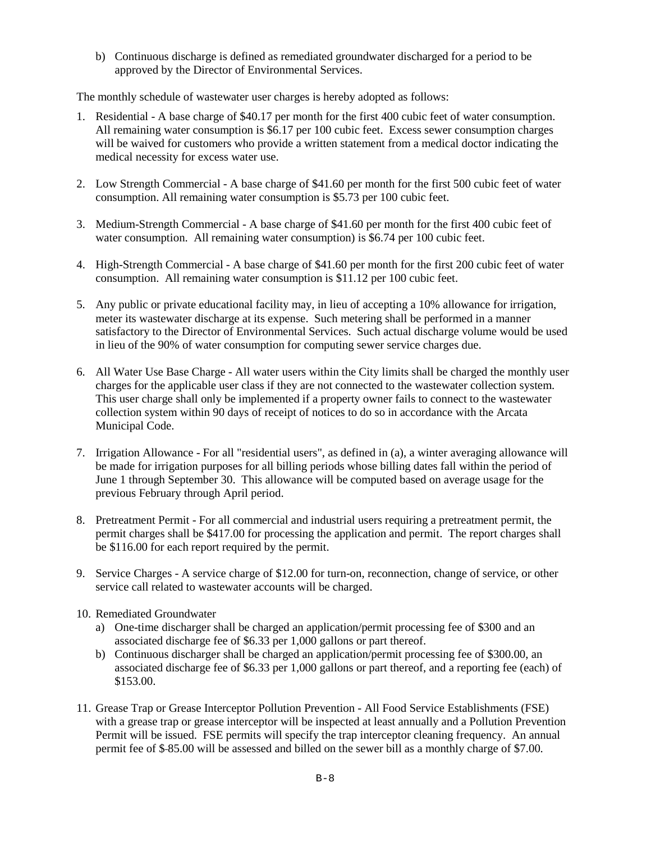b) Continuous discharge is defined as remediated groundwater discharged for a period to be approved by the Director of Environmental Services.

The monthly schedule of wastewater user charges is hereby adopted as follows:

- 1. Residential A base charge of \$40.17 per month for the first 400 cubic feet of water consumption. All remaining water consumption is \$6.17 per 100 cubic feet. Excess sewer consumption charges will be waived for customers who provide a written statement from a medical doctor indicating the medical necessity for excess water use.
- 2. Low Strength Commercial A base charge of \$41.60 per month for the first 500 cubic feet of water consumption. All remaining water consumption is \$5.73 per 100 cubic feet.
- 3. Medium-Strength Commercial A base charge of \$41.60 per month for the first 400 cubic feet of water consumption. All remaining water consumption) is \$6.74 per 100 cubic feet.
- 4. High-Strength Commercial A base charge of \$41.60 per month for the first 200 cubic feet of water consumption. All remaining water consumption is \$11.12 per 100 cubic feet.
- 5. Any public or private educational facility may, in lieu of accepting a 10% allowance for irrigation, meter its wastewater discharge at its expense. Such metering shall be performed in a manner satisfactory to the Director of Environmental Services. Such actual discharge volume would be used in lieu of the 90% of water consumption for computing sewer service charges due.
- 6. All Water Use Base Charge All water users within the City limits shall be charged the monthly user charges for the applicable user class if they are not connected to the wastewater collection system. This user charge shall only be implemented if a property owner fails to connect to the wastewater collection system within 90 days of receipt of notices to do so in accordance with the Arcata Municipal Code.
- 7. Irrigation Allowance For all "residential users", as defined in (a), a winter averaging allowance will be made for irrigation purposes for all billing periods whose billing dates fall within the period of June 1 through September 30. This allowance will be computed based on average usage for the previous February through April period.
- 8. Pretreatment Permit For all commercial and industrial users requiring a pretreatment permit, the permit charges shall be \$417.00 for processing the application and permit. The report charges shall be \$116.00 for each report required by the permit.
- 9. Service Charges A service charge of \$12.00 for turn-on, reconnection, change of service, or other service call related to wastewater accounts will be charged.
- 10. Remediated Groundwater
	- a) One-time discharger shall be charged an application/permit processing fee of \$300 and an associated discharge fee of \$6.33 per 1,000 gallons or part thereof.
	- b) Continuous discharger shall be charged an application/permit processing fee of \$300.00, an associated discharge fee of \$6.33 per 1,000 gallons or part thereof, and a reporting fee (each) of \$153.00.
- 11. Grease Trap or Grease Interceptor Pollution Prevention All Food Service Establishments (FSE) with a grease trap or grease interceptor will be inspected at least annually and a Pollution Prevention Permit will be issued. FSE permits will specify the trap interceptor cleaning frequency. An annual permit fee of \$ 85.00 will be assessed and billed on the sewer bill as a monthly charge of \$7.00.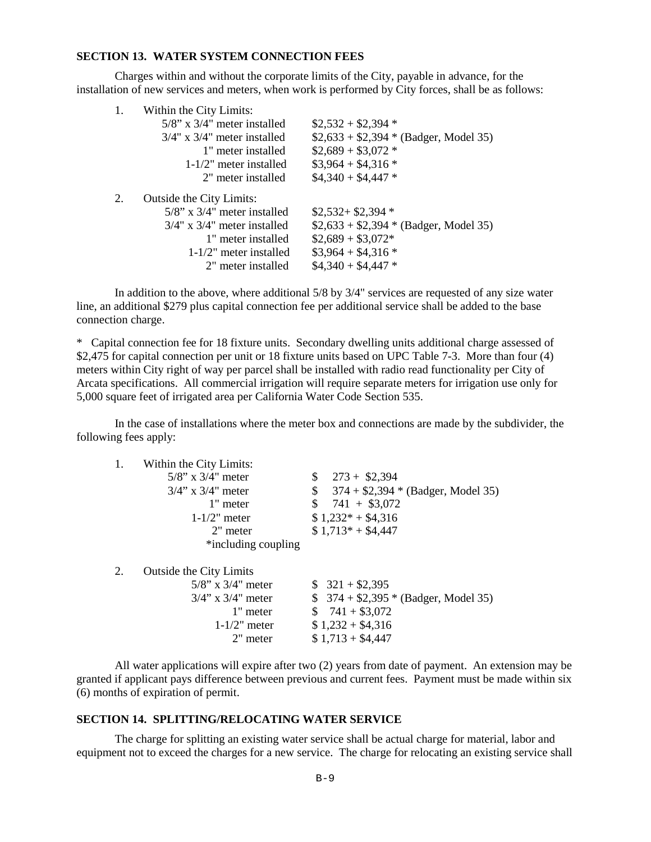#### **SECTION 13. WATER SYSTEM CONNECTION FEES**

 Charges within and without the corporate limits of the City, payable in advance, for the installation of new services and meters, when work is performed by City forces, shall be as follows:

|    | Within the City Limits:           |                                        |  |
|----|-----------------------------------|----------------------------------------|--|
|    | $5/8$ " x $3/4$ " meter installed | $$2,532 + $2,394 *$                    |  |
|    | $3/4$ " x $3/4$ " meter installed | $$2,633 + $2,394 * (Badger, Model 35)$ |  |
|    | 1" meter installed                | $$2,689 + $3,072$ *                    |  |
|    | $1-1/2$ " meter installed         | $\$3.964 + \$4.316*$                   |  |
|    | 2" meter installed                | $$4,340 + $4,447$ *                    |  |
| 2. | Outside the City Limits:          |                                        |  |
|    |                                   |                                        |  |
|    | $5/8$ " x $3/4$ " meter installed | $$2,532+$2,394*$                       |  |
|    | $3/4$ " x $3/4$ " meter installed | $$2,633 + $2,394 * (Badger, Model 35)$ |  |
|    | 1" meter installed                | $$2,689 + $3,072*$                     |  |
|    | $1-1/2$ " meter installed         | $$3,964 + $4,316*$                     |  |
|    | 2" meter installed                | $$4,340 + $4,447$ *                    |  |

In addition to the above, where additional 5/8 by 3/4" services are requested of any size water line, an additional \$279 plus capital connection fee per additional service shall be added to the base connection charge.

\* Capital connection fee for 18 fixture units. Secondary dwelling units additional charge assessed of \$2,475 for capital connection per unit or 18 fixture units based on UPC Table 7-3. More than four (4) meters within City right of way per parcel shall be installed with radio read functionality per City of Arcata specifications. All commercial irrigation will require separate meters for irrigation use only for 5,000 square feet of irrigated area per California Water Code Section 535.

In the case of installations where the meter box and connections are made by the subdivider, the following fees apply:

| 1. | Within the City Limits:        |                                           |
|----|--------------------------------|-------------------------------------------|
|    | $5/8$ " x $3/4$ " meter        | $273 + $2,394$<br>\$                      |
|    | $3/4$ " x $3/4$ " meter        | \$<br>$374 + $2,394 * (Badger, Model 35)$ |
|    | 1" meter                       | $$741 + $3,072$                           |
|    | $1-1/2$ " meter                | $$1,232* + $4,316$                        |
|    | 2" meter                       | $$1,713* + $4,447$                        |
|    | *including coupling            |                                           |
| 2. | <b>Outside the City Limits</b> |                                           |
|    | $5/8$ " x $3/4$ " meter        | $$321 + $2,395$                           |
|    | $3/4$ " x $3/4$ " meter        | $$374 + $2,395 * (Badger, Model 35)$      |
|    | 1" meter                       | $$741 + $3,072$                           |
|    | $1-1/2$ " meter                | $$1,232 + $4,316$                         |
|    | 2" meter                       | $$1,713 + $4,447$                         |

All water applications will expire after two (2) years from date of payment. An extension may be granted if applicant pays difference between previous and current fees. Payment must be made within six (6) months of expiration of permit.

### **SECTION 14. SPLITTING/RELOCATING WATER SERVICE**

The charge for splitting an existing water service shall be actual charge for material, labor and equipment not to exceed the charges for a new service. The charge for relocating an existing service shall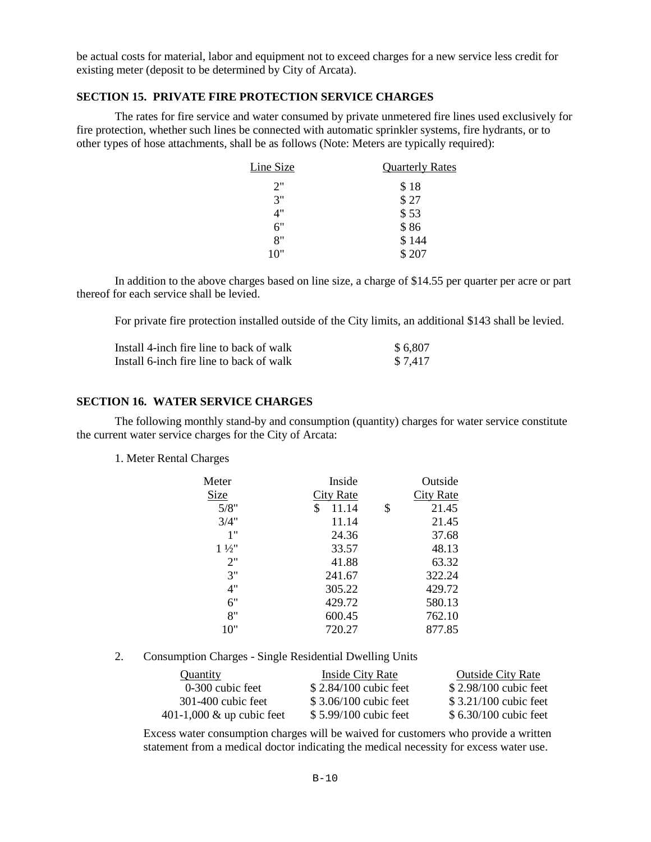be actual costs for material, labor and equipment not to exceed charges for a new service less credit for existing meter (deposit to be determined by City of Arcata).

### **SECTION 15. PRIVATE FIRE PROTECTION SERVICE CHARGES**

The rates for fire service and water consumed by private unmetered fire lines used exclusively for fire protection, whether such lines be connected with automatic sprinkler systems, fire hydrants, or to other types of hose attachments, shall be as follows (Note: Meters are typically required):

| Line Size | <b>Quarterly Rates</b> |
|-----------|------------------------|
| 2"        | \$18                   |
| 3"        | \$27                   |
| 4"        | \$53                   |
| 6"        | \$86                   |
| 8"        | \$144                  |
| 10"       | \$207                  |
|           |                        |

 In addition to the above charges based on line size, a charge of \$14.55 per quarter per acre or part thereof for each service shall be levied.

For private fire protection installed outside of the City limits, an additional \$143 shall be levied.

| Install 4-inch fire line to back of walk | \$6,807 |
|------------------------------------------|---------|
| Install 6-inch fire line to back of walk | \$7.417 |

#### **SECTION 16. WATER SERVICE CHARGES**

 The following monthly stand-by and consumption (quantity) charges for water service constitute the current water service charges for the City of Arcata:

### 1. Meter Rental Charges

| Meter          | Inside      | Outside          |
|----------------|-------------|------------------|
| Size           | City Rate   | <b>City Rate</b> |
| 5/8"           | \$<br>11.14 | \$<br>21.45      |
| 3/4"           | 11.14       | 21.45            |
| 1"             | 24.36       | 37.68            |
| $1\frac{1}{2}$ | 33.57       | 48.13            |
| 2"             | 41.88       | 63.32            |
| 3"             | 241.67      | 322.24           |
| 4"             | 305.22      | 429.72           |
| 6"             | 429.72      | 580.13           |
| 8"             | 600.45      | 762.10           |
| 10"            | 720.27      | 877.85           |

2. Consumption Charges - Single Residential Dwelling Units

| Quantity                     | Inside City Rate       | <b>Outside City Rate</b> |
|------------------------------|------------------------|--------------------------|
| 0-300 cubic feet             | $$2.84/100$ cubic feet | \$2.98/100 cubic feet    |
| $301-400$ cubic feet         | \$3.06/100 cubic feet  | $$3.21/100$ cubic feet   |
| 401-1,000 $\&$ up cubic feet | \$5.99/100 cubic feet  | $$6.30/100$ cubic feet   |

Excess water consumption charges will be waived for customers who provide a written statement from a medical doctor indicating the medical necessity for excess water use.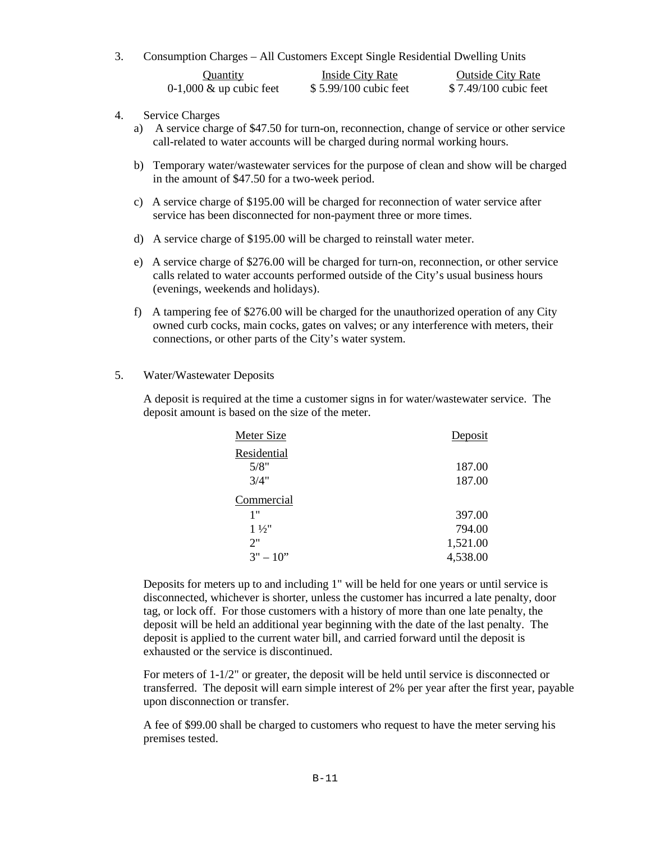3. Consumption Charges – All Customers Except Single Residential Dwelling Units

| <b>Ouantity</b>                   | Inside City Rate       | <b>Outside City Rate</b> |
|-----------------------------------|------------------------|--------------------------|
| $0-1,000 \& \text{up cubic feet}$ | $$5.99/100$ cubic feet | \$7.49/100 cubic feet    |

- 4. Service Charges
	- a) A service charge of \$47.50 for turn-on, reconnection, change of service or other service call-related to water accounts will be charged during normal working hours.
	- b) Temporary water/wastewater services for the purpose of clean and show will be charged in the amount of \$47.50 for a two-week period.
	- c) A service charge of \$195.00 will be charged for reconnection of water service after service has been disconnected for non-payment three or more times.
	- d) A service charge of \$195.00 will be charged to reinstall water meter.
	- e) A service charge of \$276.00 will be charged for turn-on, reconnection, or other service calls related to water accounts performed outside of the City's usual business hours (evenings, weekends and holidays).
	- f) A tampering fee of \$276.00 will be charged for the unauthorized operation of any City owned curb cocks, main cocks, gates on valves; or any interference with meters, their connections, or other parts of the City's water system.

### 5. Water/Wastewater Deposits

A deposit is required at the time a customer signs in for water/wastewater service. The deposit amount is based on the size of the meter.

| Meter Size     | Deposit  |
|----------------|----------|
| Residential    |          |
| 5/8"           | 187.00   |
| 3/4"           | 187.00   |
| Commercial     |          |
| 1"             | 397.00   |
| $1\frac{1}{2}$ | 794.00   |
| 2"             | 1,521.00 |
| $3" - 10"$     | 4,538.00 |

Deposits for meters up to and including 1" will be held for one years or until service is disconnected, whichever is shorter, unless the customer has incurred a late penalty, door tag, or lock off. For those customers with a history of more than one late penalty, the deposit will be held an additional year beginning with the date of the last penalty. The deposit is applied to the current water bill, and carried forward until the deposit is exhausted or the service is discontinued.

For meters of 1-1/2" or greater, the deposit will be held until service is disconnected or transferred. The deposit will earn simple interest of 2% per year after the first year, payable upon disconnection or transfer.

A fee of \$99.00 shall be charged to customers who request to have the meter serving his premises tested.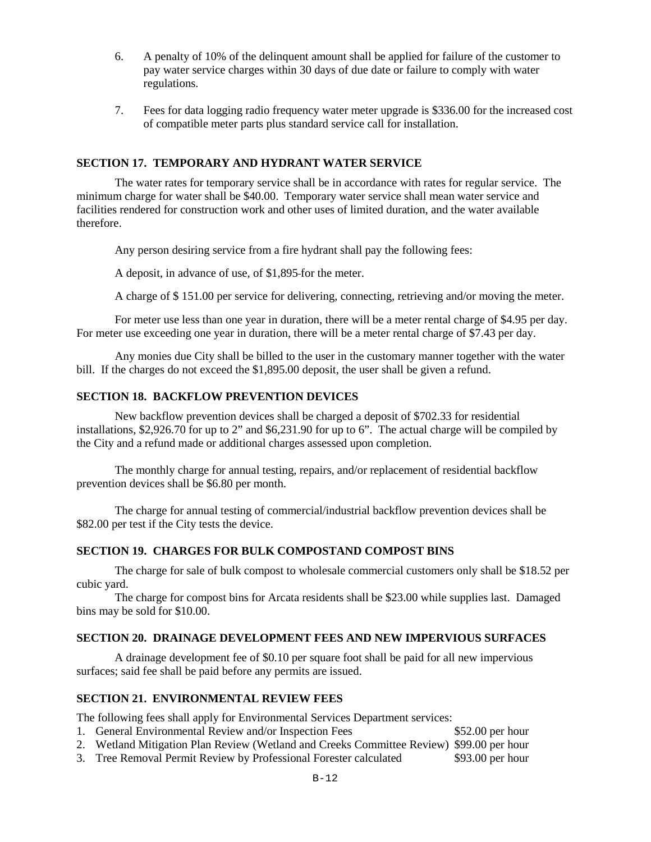- 6. A penalty of 10% of the delinquent amount shall be applied for failure of the customer to pay water service charges within 30 days of due date or failure to comply with water regulations.
- 7. Fees for data logging radio frequency water meter upgrade is \$336.00 for the increased cost of compatible meter parts plus standard service call for installation.

### **SECTION 17. TEMPORARY AND HYDRANT WATER SERVICE**

The water rates for temporary service shall be in accordance with rates for regular service. The minimum charge for water shall be \$40.00. Temporary water service shall mean water service and facilities rendered for construction work and other uses of limited duration, and the water available therefore.

Any person desiring service from a fire hydrant shall pay the following fees:

A deposit, in advance of use, of \$1,895 for the meter.

A charge of \$ 151.00 per service for delivering, connecting, retrieving and/or moving the meter.

For meter use less than one year in duration, there will be a meter rental charge of \$4.95 per day. For meter use exceeding one year in duration, there will be a meter rental charge of \$7.43 per day.

 Any monies due City shall be billed to the user in the customary manner together with the water bill. If the charges do not exceed the \$1,895.00 deposit, the user shall be given a refund.

# **SECTION 18. BACKFLOW PREVENTION DEVICES**

New backflow prevention devices shall be charged a deposit of \$702.33 for residential installations, \$2,926.70 for up to 2" and \$6,231.90 for up to 6". The actual charge will be compiled by the City and a refund made or additional charges assessed upon completion.

 The monthly charge for annual testing, repairs, and/or replacement of residential backflow prevention devices shall be \$6.80 per month.

The charge for annual testing of commercial/industrial backflow prevention devices shall be \$82.00 per test if the City tests the device.

# **SECTION 19. CHARGES FOR BULK COMPOSTAND COMPOST BINS**

The charge for sale of bulk compost to wholesale commercial customers only shall be \$18.52 per cubic yard.

The charge for compost bins for Arcata residents shall be \$23.00 while supplies last. Damaged bins may be sold for \$10.00.

# **SECTION 20. DRAINAGE DEVELOPMENT FEES AND NEW IMPERVIOUS SURFACES**

 A drainage development fee of \$0.10 per square foot shall be paid for all new impervious surfaces; said fee shall be paid before any permits are issued.

# **SECTION 21. ENVIRONMENTAL REVIEW FEES**

The following fees shall apply for Environmental Services Department services:

- 1. General Environmental Review and/or Inspection Fees \$52.00 per hour
- 2. Wetland Mitigation Plan Review (Wetland and Creeks Committee Review) \$99.00 per hour
- 3. Tree Removal Permit Review by Professional Forester calculated \$93.00 per hour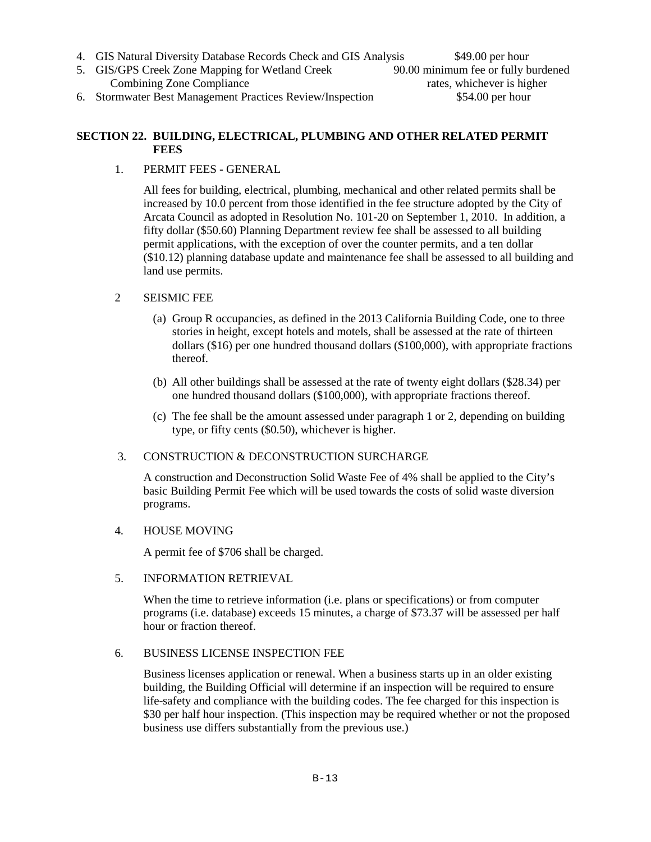- 
- 4. GIS Natural Diversity Database Records Check and GIS Analysis \$49.00 per hour<br>5. GIS/GPS Creek Zone Mapping for Wetland Creek 90.00 minimum fee or fully burdened 5. GIS/GPS Creek Zone Mapping for Wetland Creek Combining Zone Compliance rates, whichever is higher
- 6. Stormwater Best Management Practices Review/Inspection \$54.00 per hour

# **SECTION 22. BUILDING, ELECTRICAL, PLUMBING AND OTHER RELATED PERMIT FEES**

1. PERMIT FEES - GENERAL

All fees for building, electrical, plumbing, mechanical and other related permits shall be increased by 10.0 percent from those identified in the fee structure adopted by the City of Arcata Council as adopted in Resolution No. 101-20 on September 1, 2010. In addition, a fifty dollar (\$50.60) Planning Department review fee shall be assessed to all building permit applications, with the exception of over the counter permits, and a ten dollar (\$10.12) planning database update and maintenance fee shall be assessed to all building and land use permits.

- 2 SEISMIC FEE
	- (a) Group R occupancies, as defined in the 2013 California Building Code, one to three stories in height, except hotels and motels, shall be assessed at the rate of thirteen dollars (\$16) per one hundred thousand dollars (\$100,000), with appropriate fractions thereof.
	- (b) All other buildings shall be assessed at the rate of twenty eight dollars (\$28.34) per one hundred thousand dollars (\$100,000), with appropriate fractions thereof.
	- (c) The fee shall be the amount assessed under paragraph 1 or 2, depending on building type, or fifty cents (\$0.50), whichever is higher.
- 3. CONSTRUCTION & DECONSTRUCTION SURCHARGE

A construction and Deconstruction Solid Waste Fee of 4% shall be applied to the City's basic Building Permit Fee which will be used towards the costs of solid waste diversion programs.

# 4. HOUSE MOVING

A permit fee of \$706 shall be charged.

5. INFORMATION RETRIEVAL

When the time to retrieve information (i.e. plans or specifications) or from computer programs (i.e. database) exceeds 15 minutes, a charge of \$73.37 will be assessed per half hour or fraction thereof.

# 6. BUSINESS LICENSE INSPECTION FEE

Business licenses application or renewal. When a business starts up in an older existing building, the Building Official will determine if an inspection will be required to ensure life-safety and compliance with the building codes. The fee charged for this inspection is \$30 per half hour inspection. (This inspection may be required whether or not the proposed business use differs substantially from the previous use.)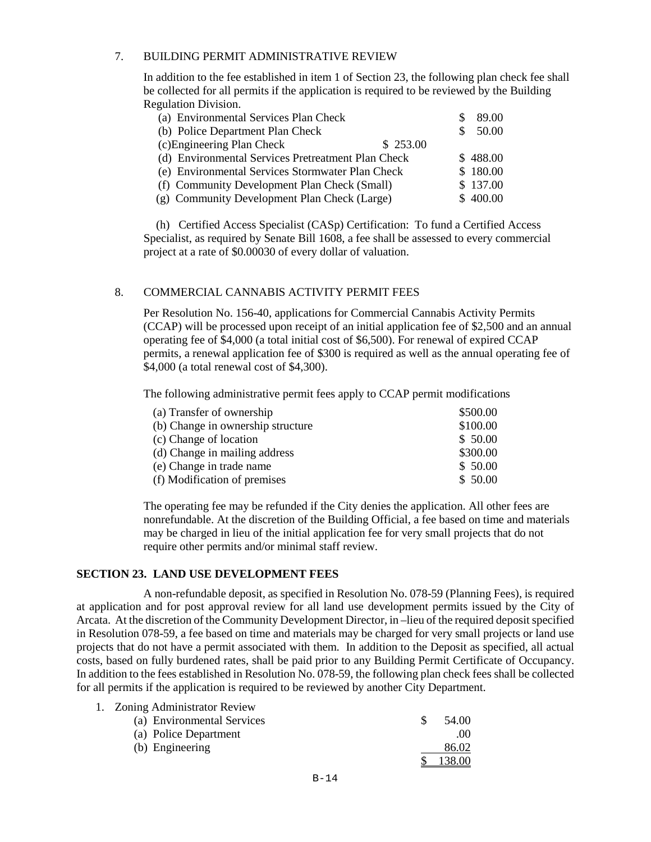### 7. BUILDING PERMIT ADMINISTRATIVE REVIEW

In addition to the fee established in item 1 of Section 23, the following plan check fee shall be collected for all permits if the application is required to be reviewed by the Building Regulation Division.

| (a) Environmental Services Plan Check              | 89.00    |
|----------------------------------------------------|----------|
| (b) Police Department Plan Check                   | 50.00    |
| (c) Engineering Plan Check<br>\$253.00             |          |
| (d) Environmental Services Pretreatment Plan Check | \$488.00 |
| (e) Environmental Services Stormwater Plan Check   | \$180.00 |
| (f) Community Development Plan Check (Small)       | \$137.00 |
| (g) Community Development Plan Check (Large)       | \$400.00 |

 (h) Certified Access Specialist (CASp) Certification: To fund a Certified Access Specialist, as required by Senate Bill 1608, a fee shall be assessed to every commercial project at a rate of \$0.00030 of every dollar of valuation.

# 8. COMMERCIAL CANNABIS ACTIVITY PERMIT FEES

Per Resolution No. 156-40, applications for Commercial Cannabis Activity Permits (CCAP) will be processed upon receipt of an initial application fee of \$2,500 and an annual operating fee of \$4,000 (a total initial cost of \$6,500). For renewal of expired CCAP permits, a renewal application fee of \$300 is required as well as the annual operating fee of \$4,000 (a total renewal cost of \$4,300).

The following administrative permit fees apply to CCAP permit modifications

| (a) Transfer of ownership         | \$500.00 |
|-----------------------------------|----------|
| (b) Change in ownership structure | \$100.00 |
| (c) Change of location            | \$50.00  |
| (d) Change in mailing address     | \$300.00 |
| (e) Change in trade name          | \$50.00  |
| (f) Modification of premises      | \$50.00  |

The operating fee may be refunded if the City denies the application. All other fees are nonrefundable. At the discretion of the Building Official, a fee based on time and materials may be charged in lieu of the initial application fee for very small projects that do not require other permits and/or minimal staff review.

# **SECTION 23. LAND USE DEVELOPMENT FEES**

 A non-refundable deposit, as specified in Resolution No. 078-59 (Planning Fees), is required at application and for post approval review for all land use development permits issued by the City of Arcata. At the discretion of the Community Development Director, in –lieu of the required deposit specified in Resolution 078-59, a fee based on time and materials may be charged for very small projects or land use projects that do not have a permit associated with them. In addition to the Deposit as specified, all actual costs, based on fully burdened rates, shall be paid prior to any Building Permit Certificate of Occupancy. In addition to the fees established in Resolution No. 078-59, the following plan check fees shall be collected for all permits if the application is required to be reviewed by another City Department.

| 1. Zoning Administrator Review |                  |
|--------------------------------|------------------|
| (a) Environmental Services     | 54.00            |
| (a) Police Department          | .00 <sub>1</sub> |
| (b) Engineering                | 86.02            |
|                                |                  |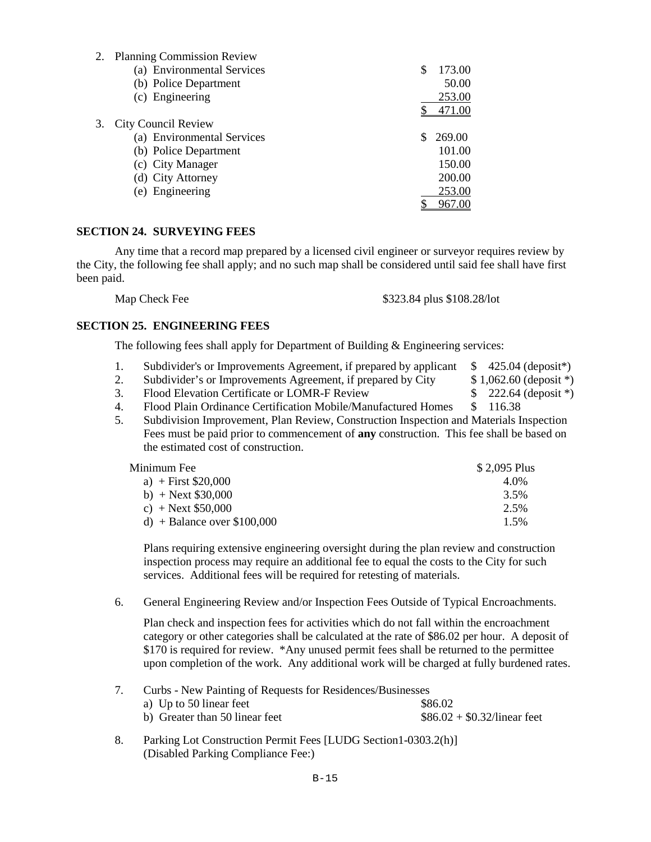| <b>Planning Commission Review</b> |             |
|-----------------------------------|-------------|
| (a) Environmental Services        | 173.00<br>S |
| (b) Police Department             | 50.00       |
| (c) Engineering                   | 253.00      |
|                                   | 471.00      |
| <b>City Council Review</b>        |             |
| (a) Environmental Services        | 269.00      |
| (b) Police Department             | 101.00      |
| (c) City Manager                  | 150.00      |
| (d) City Attorney                 | 200.00      |
| (e) Engineering                   | 253.00      |
|                                   | 967.00      |
|                                   |             |

# **SECTION 24. SURVEYING FEES**

Any time that a record map prepared by a licensed civil engineer or surveyor requires review by the City, the following fee shall apply; and no such map shall be considered until said fee shall have first been paid.

Map Check Fee \$323.84 plus \$108.28/lot

#### **SECTION 25. ENGINEERING FEES**

The following fees shall apply for Department of Building & Engineering services:

- 1. Subdivider's or Improvements Agreement, if prepared by applicant \$ 425.04 (deposit\*)
- 2. Subdivider's or Improvements Agreement, if prepared by City \$1,062.60 (deposit \*)
- 3. Flood Elevation Certificate or LOMR-F Review  $$222.64$  (deposit \*)
	-
- 4. Flood Plain Ordinance Certification Mobile/Manufactured Homes \$ 116.38
- 5. Subdivision Improvement, Plan Review, Construction Inspection and Materials Inspection Fees must be paid prior to commencement of **any** construction. This fee shall be based on the estimated cost of construction.<br>Minimum Fee

| Minimum Fee                  | \$2,095 Plus |
|------------------------------|--------------|
| a) + First $$20,000$         | 4.0%         |
| b) + Next $$30,000$          | 3.5%         |
| c) + Next $$50,000$          | 2.5%         |
| d) + Balance over $$100,000$ | 1.5%         |

Plans requiring extensive engineering oversight during the plan review and construction inspection process may require an additional fee to equal the costs to the City for such services. Additional fees will be required for retesting of materials.

6. General Engineering Review and/or Inspection Fees Outside of Typical Encroachments.

Plan check and inspection fees for activities which do not fall within the encroachment category or other categories shall be calculated at the rate of \$86.02 per hour. A deposit of \$170 is required for review. \*Any unused permit fees shall be returned to the permittee upon completion of the work. Any additional work will be charged at fully burdened rates.

7. Curbs - New Painting of Requests for Residences/Businesses

| a) Up to 50 linear feet        | \$86.02                       |
|--------------------------------|-------------------------------|
| b) Greater than 50 linear feet | $$86.02 + $0.32$ /linear feet |

 8. Parking Lot Construction Permit Fees [LUDG Section1-0303.2(h)] (Disabled Parking Compliance Fee:)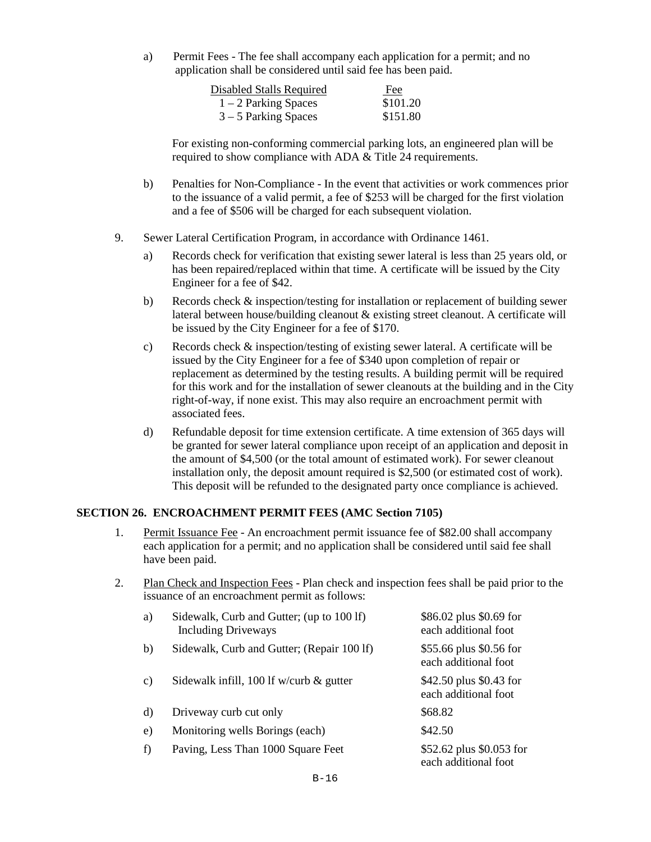a) Permit Fees - The fee shall accompany each application for a permit; and no application shall be considered until said fee has been paid.

| Disabled Stalls Required | Fee      |
|--------------------------|----------|
| $1 - 2$ Parking Spaces   | \$101.20 |
| $3 - 5$ Parking Spaces   | \$151.80 |

For existing non-conforming commercial parking lots, an engineered plan will be required to show compliance with ADA & Title 24 requirements.

- b) Penalties for Non-Compliance In the event that activities or work commences prior to the issuance of a valid permit, a fee of \$253 will be charged for the first violation and a fee of \$506 will be charged for each subsequent violation.
- 9. Sewer Lateral Certification Program, in accordance with Ordinance 1461.
	- a) Records check for verification that existing sewer lateral is less than 25 years old, or has been repaired/replaced within that time. A certificate will be issued by the City Engineer for a fee of \$42.
	- b) Records check & inspection/testing for installation or replacement of building sewer lateral between house/building cleanout & existing street cleanout. A certificate will be issued by the City Engineer for a fee of \$170.
	- c) Records check & inspection/testing of existing sewer lateral. A certificate will be issued by the City Engineer for a fee of \$340 upon completion of repair or replacement as determined by the testing results. A building permit will be required for this work and for the installation of sewer cleanouts at the building and in the City right-of-way, if none exist. This may also require an encroachment permit with associated fees.
	- d) Refundable deposit for time extension certificate. A time extension of 365 days will be granted for sewer lateral compliance upon receipt of an application and deposit in the amount of \$4,500 (or the total amount of estimated work). For sewer cleanout installation only, the deposit amount required is \$2,500 (or estimated cost of work). This deposit will be refunded to the designated party once compliance is achieved.

### **SECTION 26. ENCROACHMENT PERMIT FEES (AMC Section 7105)**

- 1. Permit Issuance Fee An encroachment permit issuance fee of \$82.00 shall accompany each application for a permit; and no application shall be considered until said fee shall have been paid.
- 2. Plan Check and Inspection Fees Plan check and inspection fees shall be paid prior to the issuance of an encroachment permit as follows:

| a) | Sidewalk, Curb and Gutter; (up to 100 lf)<br><b>Including Driveways</b> | \$86.02 plus \$0.69 for<br>each additional foot  |
|----|-------------------------------------------------------------------------|--------------------------------------------------|
| b) | Sidewalk, Curb and Gutter; (Repair 100 lf)                              | \$55.66 plus \$0.56 for<br>each additional foot  |
| C) | Sidewalk infill, 100 lf w/curb $\&$ gutter                              | \$42.50 plus \$0.43 for<br>each additional foot  |
| d) | Driveway curb cut only                                                  | \$68.82                                          |
| e) | Monitoring wells Borings (each)                                         | \$42.50                                          |
| f) | Paving, Less Than 1000 Square Feet                                      | \$52.62 plus \$0.053 for<br>each additional foot |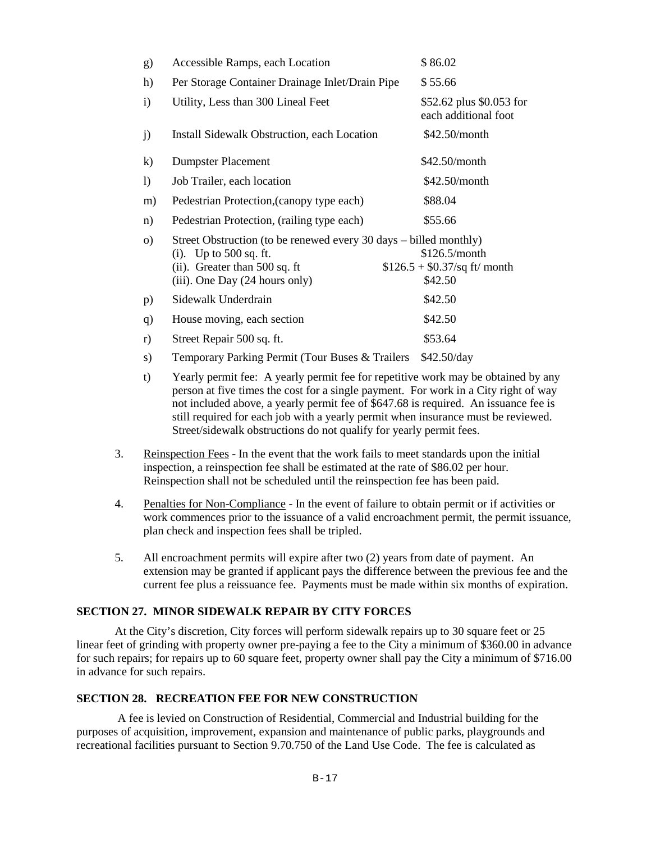| g)               | Accessible Ramps, each Location                                                                                                                                  | \$86.02                                                    |
|------------------|------------------------------------------------------------------------------------------------------------------------------------------------------------------|------------------------------------------------------------|
| h)               | Per Storage Container Drainage Inlet/Drain Pipe                                                                                                                  | \$55.66                                                    |
| $\mathbf{i}$     | Utility, Less than 300 Lineal Feet                                                                                                                               | \$52.62 plus \$0.053 for<br>each additional foot           |
| j)               | Install Sidewalk Obstruction, each Location                                                                                                                      | \$42.50/month                                              |
| $\mathbf{k}$     | <b>Dumpster Placement</b>                                                                                                                                        | \$42.50/month                                              |
| $\left( \right)$ | Job Trailer, each location                                                                                                                                       | \$42.50/month                                              |
| m)               | Pedestrian Protection, (canopy type each)                                                                                                                        | \$88.04                                                    |
| n)               | Pedestrian Protection, (railing type each)                                                                                                                       | \$55.66                                                    |
| $\Omega$         | Street Obstruction (to be renewed every 30 days – billed monthly)<br>(i). Up to $500$ sq. ft.<br>(ii). Greater than 500 sq. ft<br>(iii). One Day (24 hours only) | \$126.5/month<br>$$126.5 + $0.37$ /sq ft/ month<br>\$42.50 |
| p)               | Sidewalk Underdrain                                                                                                                                              | \$42.50                                                    |
| q)               | House moving, each section                                                                                                                                       | \$42.50                                                    |
| r)               | Street Repair 500 sq. ft.                                                                                                                                        | \$53.64                                                    |
| s)               | Temporary Parking Permit (Tour Buses & Trailers                                                                                                                  | \$42.50/day                                                |

- t) Yearly permit fee: A yearly permit fee for repetitive work may be obtained by any person at five times the cost for a single payment. For work in a City right of way not included above, a yearly permit fee of \$647.68 is required. An issuance fee is still required for each job with a yearly permit when insurance must be reviewed. Street/sidewalk obstructions do not qualify for yearly permit fees.
- 3. Reinspection Fees In the event that the work fails to meet standards upon the initial inspection, a reinspection fee shall be estimated at the rate of \$86.02 per hour. Reinspection shall not be scheduled until the reinspection fee has been paid.
- 4. Penalties for Non-Compliance In the event of failure to obtain permit or if activities or work commences prior to the issuance of a valid encroachment permit, the permit issuance, plan check and inspection fees shall be tripled.
- 5. All encroachment permits will expire after two (2) years from date of payment. An extension may be granted if applicant pays the difference between the previous fee and the current fee plus a reissuance fee. Payments must be made within six months of expiration.

# **SECTION 27. MINOR SIDEWALK REPAIR BY CITY FORCES**

At the City's discretion, City forces will perform sidewalk repairs up to 30 square feet or 25 linear feet of grinding with property owner pre-paying a fee to the City a minimum of \$360.00 in advance for such repairs; for repairs up to 60 square feet, property owner shall pay the City a minimum of \$716.00 in advance for such repairs.

# **SECTION 28. RECREATION FEE FOR NEW CONSTRUCTION**

 A fee is levied on Construction of Residential, Commercial and Industrial building for the purposes of acquisition, improvement, expansion and maintenance of public parks, playgrounds and recreational facilities pursuant to Section 9.70.750 of the Land Use Code. The fee is calculated as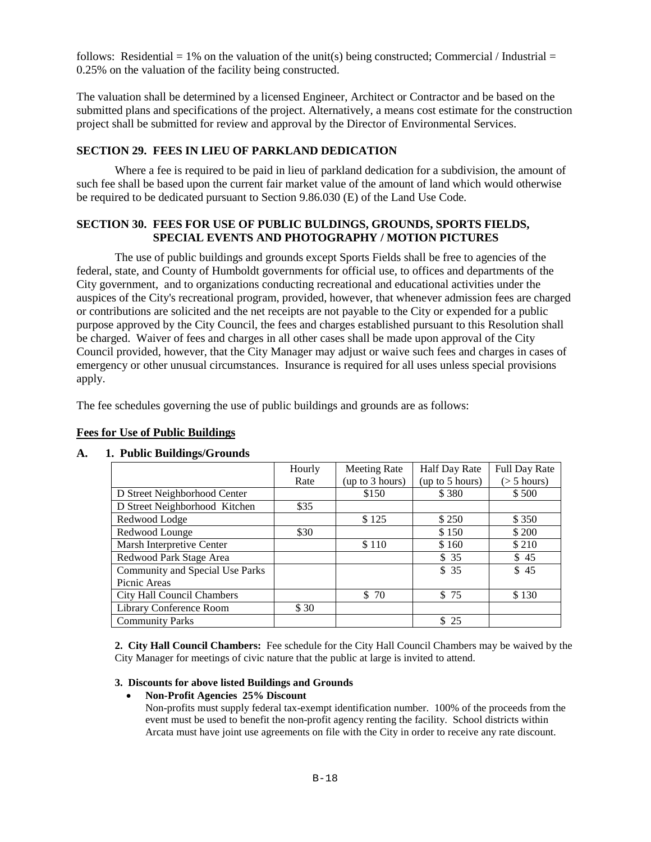follows: Residential = 1% on the valuation of the unit(s) being constructed; Commercial / Industrial = 0.25% on the valuation of the facility being constructed.

The valuation shall be determined by a licensed Engineer, Architect or Contractor and be based on the submitted plans and specifications of the project. Alternatively, a means cost estimate for the construction project shall be submitted for review and approval by the Director of Environmental Services.

### **SECTION 29. FEES IN LIEU OF PARKLAND DEDICATION**

 Where a fee is required to be paid in lieu of parkland dedication for a subdivision, the amount of such fee shall be based upon the current fair market value of the amount of land which would otherwise be required to be dedicated pursuant to Section 9.86.030 (E) of the Land Use Code.

# **SECTION 30. FEES FOR USE OF PUBLIC BULDINGS, GROUNDS, SPORTS FIELDS, SPECIAL EVENTS AND PHOTOGRAPHY / MOTION PICTURES**

 The use of public buildings and grounds except Sports Fields shall be free to agencies of the federal, state, and County of Humboldt governments for official use, to offices and departments of the City government, and to organizations conducting recreational and educational activities under the auspices of the City's recreational program, provided, however, that whenever admission fees are charged or contributions are solicited and the net receipts are not payable to the City or expended for a public purpose approved by the City Council, the fees and charges established pursuant to this Resolution shall be charged. Waiver of fees and charges in all other cases shall be made upon approval of the City Council provided, however, that the City Manager may adjust or waive such fees and charges in cases of emergency or other unusual circumstances. Insurance is required for all uses unless special provisions apply.

The fee schedules governing the use of public buildings and grounds are as follows:

| -                               |        |                     |                      |                   |
|---------------------------------|--------|---------------------|----------------------|-------------------|
|                                 | Hourly | <b>Meeting Rate</b> | <b>Half Day Rate</b> | Full Day Rate     |
|                                 | Rate   | (up to 3 hours)     | (up to 5 hours)      | $($ > 5 hours $)$ |
| D Street Neighborhood Center    |        | \$150               | \$380                | \$500             |
| D Street Neighborhood Kitchen   | \$35   |                     |                      |                   |
| Redwood Lodge                   |        | \$125               | \$250                | \$350             |
| Redwood Lounge                  | \$30   |                     | \$150                | \$ 200            |
| Marsh Interpretive Center       |        | \$110               | \$160                | \$210             |
| Redwood Park Stage Area         |        |                     | \$35                 | \$45              |
| Community and Special Use Parks |        |                     | \$35                 | \$45              |
| Picnic Areas                    |        |                     |                      |                   |
| City Hall Council Chambers      |        | \$70                | \$75                 | \$130             |
| Library Conference Room         | \$30   |                     |                      |                   |
| <b>Community Parks</b>          |        |                     | \$25                 |                   |

# **Fees for Use of Public Buildings**

# **A. 1. Public Buildings/Grounds**

**2. City Hall Council Chambers:** Fee schedule for the City Hall Council Chambers may be waived by the City Manager for meetings of civic nature that the public at large is invited to attend.

#### **3. Discounts for above listed Buildings and Grounds**

#### • **Non-Profit Agencies 25% Discount**

Non-profits must supply federal tax-exempt identification number. 100% of the proceeds from the event must be used to benefit the non-profit agency renting the facility. School districts within Arcata must have joint use agreements on file with the City in order to receive any rate discount.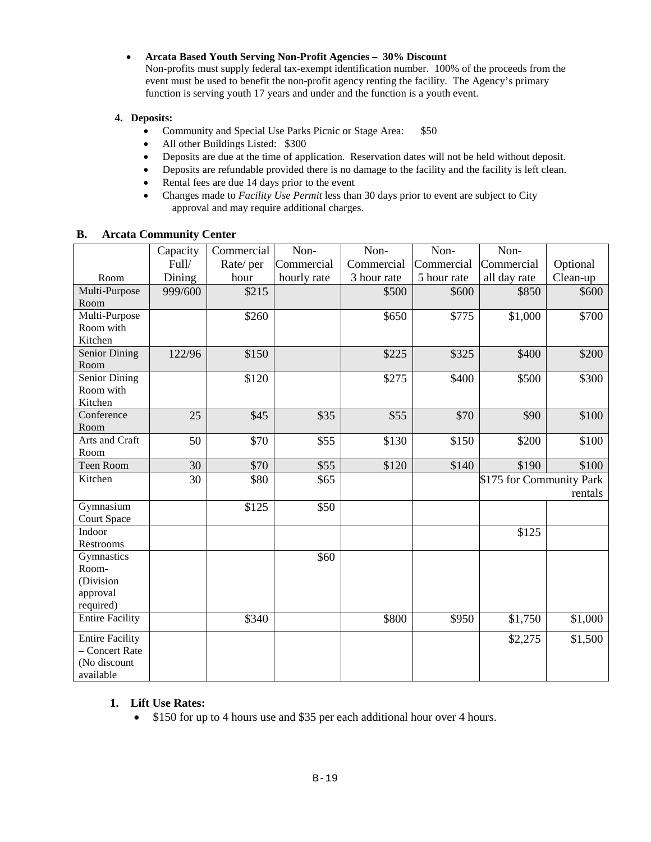### • **Arcata Based Youth Serving Non-Profit Agencies – 30% Discount**

Non-profits must supply federal tax-exempt identification number. 100% of the proceeds from the event must be used to benefit the non-profit agency renting the facility. The Agency's primary function is serving youth 17 years and under and the function is a youth event.

### **4. Deposits:**

- Community and Special Use Parks Picnic or Stage Area: \$50
- All other Buildings Listed: \$300
- Deposits are due at the time of application. Reservation dates will not be held without deposit.
- Deposits are refundable provided there is no damage to the facility and the facility is left clean.
- Rental fees are due 14 days prior to the event
- Changes made to *Facility Use Permit* less than 30 days prior to event are subject to City approval and may require additional charges.

|                              | Capacity | Commercial | Non-        | Non-        | Non-        | Non-                     |          |
|------------------------------|----------|------------|-------------|-------------|-------------|--------------------------|----------|
|                              | Full/    | Rate/per   | Commercial  | Commercial  | Commercial  | Commercial               | Optional |
| Room                         | Dining   | hour       | hourly rate | 3 hour rate | 5 hour rate | all day rate             | Clean-up |
| Multi-Purpose                | 999/600  | \$215      |             | \$500       | \$600       | \$850                    | \$600    |
| Room                         |          |            |             |             |             |                          |          |
| Multi-Purpose                |          | \$260      |             | \$650       | \$775       | \$1,000                  | \$700    |
| Room with                    |          |            |             |             |             |                          |          |
| Kitchen                      |          |            |             |             |             |                          |          |
| Senior Dining                | 122/96   | \$150      |             | \$225       | \$325       | \$400                    | \$200    |
| Room                         |          |            |             |             |             |                          |          |
| Senior Dining                |          | \$120      |             | \$275       | \$400       | \$500                    | \$300    |
| Room with                    |          |            |             |             |             |                          |          |
| Kitchen                      |          |            |             |             |             |                          |          |
| Conference                   | 25       | \$45       | \$35        | \$55        | \$70        | \$90                     | \$100    |
| Room<br>Arts and Craft       | 50       |            |             |             |             |                          |          |
| Room                         |          | \$70       | \$55        | \$130       | \$150       | \$200                    | \$100    |
| Teen Room                    | 30       | \$70       | \$55        | \$120       | \$140       | \$190                    | \$100    |
| Kitchen                      | 30       | \$80       | \$65        |             |             |                          |          |
|                              |          |            |             |             |             | \$175 for Community Park |          |
|                              |          |            |             |             |             |                          | rentals  |
| Gymnasium                    |          | \$125      | \$50        |             |             |                          |          |
| <b>Court Space</b><br>Indoor |          |            |             |             |             |                          |          |
| <b>Restrooms</b>             |          |            |             |             |             | \$125                    |          |
| Gymnastics                   |          |            | \$60        |             |             |                          |          |
| Room-                        |          |            |             |             |             |                          |          |
| (Division                    |          |            |             |             |             |                          |          |
| approval                     |          |            |             |             |             |                          |          |
| required)                    |          |            |             |             |             |                          |          |
| <b>Entire Facility</b>       |          | \$340      |             | \$800       | \$950       | \$1,750                  | \$1,000  |
| <b>Entire Facility</b>       |          |            |             |             |             | \$2,275                  | \$1,500  |
| - Concert Rate               |          |            |             |             |             |                          |          |
| (No discount                 |          |            |             |             |             |                          |          |
| available                    |          |            |             |             |             |                          |          |

### **B. Arcata Community Center**

#### **1. Lift Use Rates:**

• \$150 for up to 4 hours use and \$35 per each additional hour over 4 hours.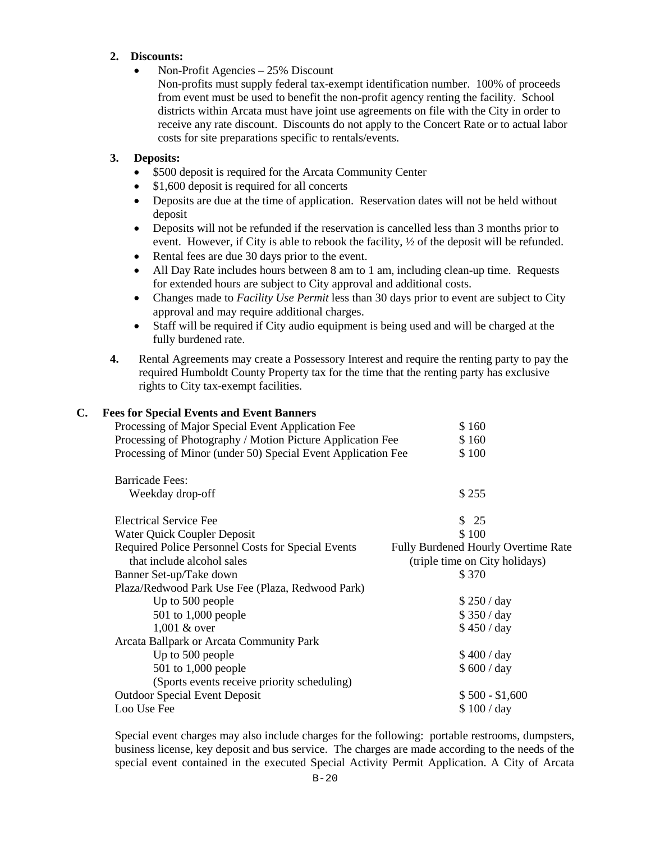# **2. Discounts:**

• Non-Profit Agencies – 25% Discount

Non-profits must supply federal tax-exempt identification number. 100% of proceeds from event must be used to benefit the non-profit agency renting the facility. School districts within Arcata must have joint use agreements on file with the City in order to receive any rate discount. Discounts do not apply to the Concert Rate or to actual labor costs for site preparations specific to rentals/events.

# **3. Deposits:**

- \$500 deposit is required for the Arcata Community Center
- \$1,600 deposit is required for all concerts
- Deposits are due at the time of application. Reservation dates will not be held without deposit
- Deposits will not be refunded if the reservation is cancelled less than 3 months prior to event. However, if City is able to rebook the facility,  $\frac{1}{2}$  of the deposit will be refunded.
- Rental fees are due 30 days prior to the event.
- All Day Rate includes hours between 8 am to 1 am, including clean-up time. Requests for extended hours are subject to City approval and additional costs.
- Changes made to *Facility Use Permit* less than 30 days prior to event are subject to City approval and may require additional charges.
- Staff will be required if City audio equipment is being used and will be charged at the fully burdened rate.
- **4.** Rental Agreements may create a Possessory Interest and require the renting party to pay the required Humboldt County Property tax for the time that the renting party has exclusive rights to City tax-exempt facilities.

# **C. Fees for Special Events and Event Banners**

| Processing of Major Special Event Application Fee            | \$160                                      |
|--------------------------------------------------------------|--------------------------------------------|
| Processing of Photography / Motion Picture Application Fee   | \$160                                      |
| Processing of Minor (under 50) Special Event Application Fee | \$100                                      |
| <b>Barricade Fees:</b>                                       |                                            |
| Weekday drop-off                                             | \$255                                      |
| <b>Electrical Service Fee</b>                                | \$25                                       |
| Water Quick Coupler Deposit                                  | \$100                                      |
| Required Police Personnel Costs for Special Events           | <b>Fully Burdened Hourly Overtime Rate</b> |
| that include alcohol sales                                   | (triple time on City holidays)             |
| Banner Set-up/Take down                                      | \$370                                      |
| Plaza/Redwood Park Use Fee (Plaza, Redwood Park)             |                                            |
| Up to 500 people                                             | \$250 / day                                |
| 501 to 1,000 people                                          | \$350 / day                                |
| $1,001$ & over                                               | \$450 / day                                |
| Arcata Ballpark or Arcata Community Park                     |                                            |
| Up to 500 people                                             | \$400 / day                                |
| $501$ to 1,000 people                                        | \$600 / day                                |
| (Sports events receive priority scheduling)                  |                                            |
| <b>Outdoor Special Event Deposit</b>                         | $$500 - $1,600$                            |
| Loo Use Fee                                                  | \$100/day                                  |
|                                                              |                                            |

Special event charges may also include charges for the following: portable restrooms, dumpsters, business license, key deposit and bus service. The charges are made according to the needs of the special event contained in the executed Special Activity Permit Application. A City of Arcata

 $B - 20$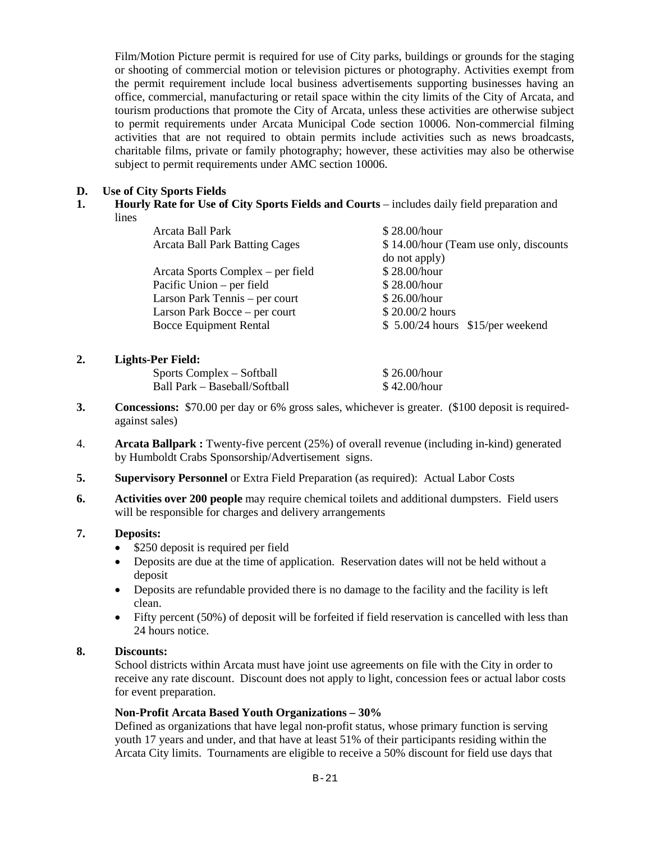Film/Motion Picture permit is required for use of City parks, buildings or grounds for the staging or shooting of commercial motion or television pictures or photography. Activities exempt from the permit requirement include local business advertisements supporting businesses having an office, commercial, manufacturing or retail space within the city limits of the City of Arcata, and tourism productions that promote the City of Arcata, unless these activities are otherwise subject to permit requirements under Arcata Municipal Code section 10006. Non-commercial filming activities that are not required to obtain permits include activities such as news broadcasts, charitable films, private or family photography; however, these activities may also be otherwise subject to permit requirements under AMC section 10006.

# **D. Use of City Sports Fields**

**1. Hourly Rate for Use of City Sports Fields and Courts** – includes daily field preparation and lines

| Arcata Ball Park                      | \$28.00/hour                           |
|---------------------------------------|----------------------------------------|
| <b>Arcata Ball Park Batting Cages</b> | \$14.00/hour (Team use only, discounts |
|                                       | do not apply)                          |
| Arcata Sports Complex – per field     | \$28.00/hour                           |
| Pacific Union – per field             | \$28.00/hour                           |
| Larson Park Tennis – per court        | \$26.00/hour                           |
| Larson Park Bocce – per court         | \$20.00/2 hours                        |
| <b>Bocce Equipment Rental</b>         | $$5.00/24$ hours $$15/per$ weekend     |
|                                       |                                        |

# **2. Lights-Per Field:**

| Sports Complex – Softball     | \$26.00/hour |
|-------------------------------|--------------|
| Ball Park – Baseball/Softball | \$42.00/hour |

- **3. Concessions:** \$70.00 per day or 6% gross sales, whichever is greater. (\$100 deposit is requiredagainst sales)
- 4. **Arcata Ballpark :** Twenty-five percent (25%) of overall revenue (including in-kind) generated by Humboldt Crabs Sponsorship/Advertisement signs.
- **5. Supervisory Personnel** or Extra Field Preparation (as required): Actual Labor Costs
- **6. Activities over 200 people** may require chemical toilets and additional dumpsters. Field users will be responsible for charges and delivery arrangements

# **7. Deposits:**

- \$250 deposit is required per field
- Deposits are due at the time of application. Reservation dates will not be held without a deposit
- Deposits are refundable provided there is no damage to the facility and the facility is left clean.
- Fifty percent (50%) of deposit will be forfeited if field reservation is cancelled with less than 24 hours notice.

# **8. Discounts:**

School districts within Arcata must have joint use agreements on file with the City in order to receive any rate discount. Discount does not apply to light, concession fees or actual labor costs for event preparation.

# **Non-Profit Arcata Based Youth Organizations – 30%**

Defined as organizations that have legal non-profit status, whose primary function is serving youth 17 years and under, and that have at least 51% of their participants residing within the Arcata City limits. Tournaments are eligible to receive a 50% discount for field use days that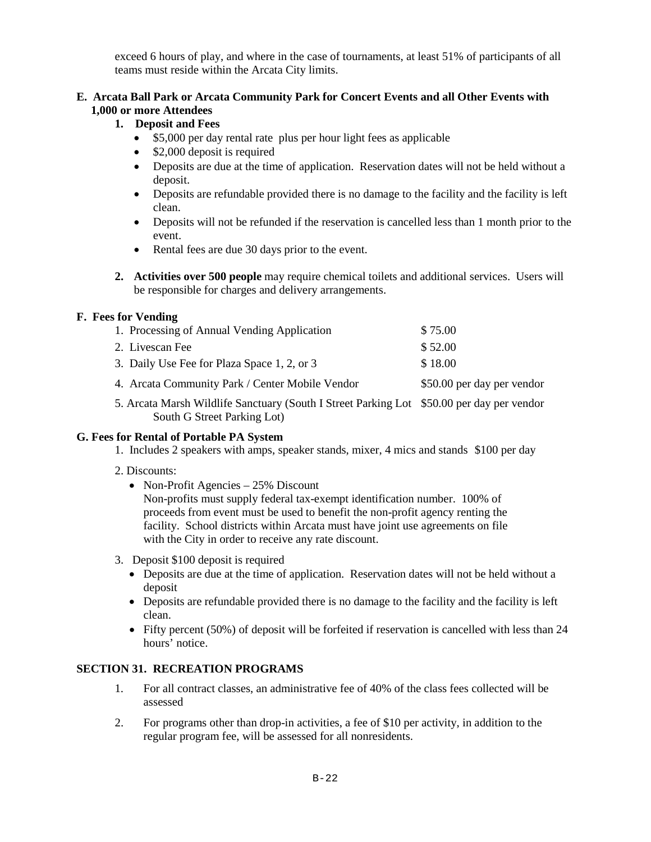exceed 6 hours of play, and where in the case of tournaments, at least 51% of participants of all teams must reside within the Arcata City limits.

# **E. Arcata Ball Park or Arcata Community Park for Concert Events and all Other Events with 1,000 or more Attendees**

# **1. Deposit and Fees**

- \$5,000 per day rental rate plus per hour light fees as applicable
- \$2,000 deposit is required
- Deposits are due at the time of application. Reservation dates will not be held without a deposit.
- Deposits are refundable provided there is no damage to the facility and the facility is left clean.
- Deposits will not be refunded if the reservation is cancelled less than 1 month prior to the event.
- Rental fees are due 30 days prior to the event.
- **2. Activities over 500 people** may require chemical toilets and additional services. Users will be responsible for charges and delivery arrangements.

# **F. Fees for Vending**

| 1. Processing of Annual Vending Application                                               | \$75.00                    |
|-------------------------------------------------------------------------------------------|----------------------------|
| 2. Livescan Fee                                                                           | \$52.00                    |
| 3. Daily Use Fee for Plaza Space 1, 2, or 3                                               | \$18.00                    |
| 4. Arcata Community Park / Center Mobile Vendor                                           | \$50.00 per day per vendor |
| 5. Arcata Marsh Wildlife Sanctuary (South I Street Parking Lot \$50.00 per day per vendor |                            |

5. Arcata Marsh Wildlife Sanctuary (South I Street Parking Lot \$50.00 per day per vendor South G Street Parking Lot)

#### **G. Fees for Rental of Portable PA System**

1. Includes 2 speakers with amps, speaker stands, mixer, 4 mics and stands \$100 per day

# 2. Discounts:

• Non-Profit Agencies – 25% Discount

Non-profits must supply federal tax-exempt identification number. 100% of proceeds from event must be used to benefit the non-profit agency renting the facility. School districts within Arcata must have joint use agreements on file with the City in order to receive any rate discount.

- 3. Deposit \$100 deposit is required
	- Deposits are due at the time of application. Reservation dates will not be held without a deposit
	- Deposits are refundable provided there is no damage to the facility and the facility is left clean.
	- Fifty percent (50%) of deposit will be forfeited if reservation is cancelled with less than 24 hours' notice.

# **SECTION 31. RECREATION PROGRAMS**

- 1. For all contract classes, an administrative fee of 40% of the class fees collected will be assessed
- 2. For programs other than drop-in activities, a fee of \$10 per activity, in addition to the regular program fee, will be assessed for all nonresidents.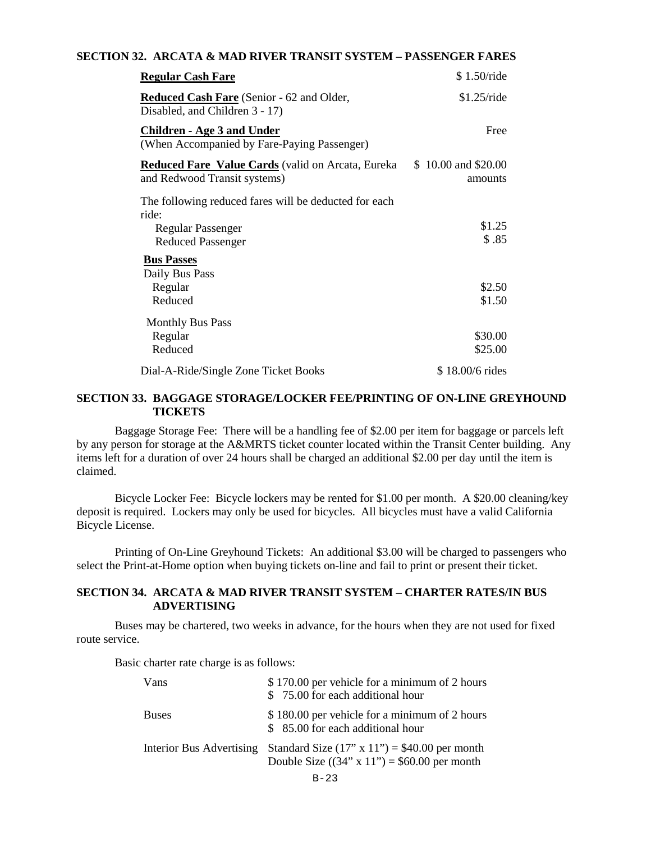### **SECTION 32. ARCATA & MAD RIVER TRANSIT SYSTEM – PASSENGER FARES**

| <b>Regular Cash Fare</b>                                                                   | \$1.50/ride                    |
|--------------------------------------------------------------------------------------------|--------------------------------|
| <b>Reduced Cash Fare</b> (Senior - 62 and Older,<br>Disabled, and Children 3 - 17)         | \$1.25/ride                    |
| <b>Children - Age 3 and Under</b><br>(When Accompanied by Fare-Paying Passenger)           | Free                           |
| <b>Reduced Fare Value Cards</b> (valid on Arcata, Eureka<br>and Redwood Transit systems)   | \$10.00 and \$20.00<br>amounts |
| The following reduced fares will be deducted for each<br>ride:<br><b>Regular Passenger</b> | \$1.25                         |
| <b>Reduced Passenger</b><br><b>Bus Passes</b>                                              | \$.85                          |
| Daily Bus Pass<br>Regular<br>Reduced                                                       | \$2.50<br>\$1.50               |
| <b>Monthly Bus Pass</b><br>Regular<br>Reduced                                              | \$30.00<br>\$25.00             |
| Dial-A-Ride/Single Zone Ticket Books                                                       | \$18.00/6 rides                |

# **SECTION 33. BAGGAGE STORAGE/LOCKER FEE/PRINTING OF ON-LINE GREYHOUND TICKETS**

Baggage Storage Fee: There will be a handling fee of \$2.00 per item for baggage or parcels left by any person for storage at the A&MRTS ticket counter located within the Transit Center building. Any items left for a duration of over 24 hours shall be charged an additional \$2.00 per day until the item is claimed.

Bicycle Locker Fee: Bicycle lockers may be rented for \$1.00 per month. A \$20.00 cleaning/key deposit is required. Lockers may only be used for bicycles. All bicycles must have a valid California Bicycle License.

Printing of On-Line Greyhound Tickets: An additional \$3.00 will be charged to passengers who select the Print-at-Home option when buying tickets on-line and fail to print or present their ticket.

### **SECTION 34. ARCATA & MAD RIVER TRANSIT SYSTEM – CHARTER RATES/IN BUS ADVERTISING**

 Buses may be chartered, two weeks in advance, for the hours when they are not used for fixed route service.

Basic charter rate charge is as follows:

| Vans                     | \$170.00 per vehicle for a minimum of 2 hours<br>\$75.00 for each additional hour                         |
|--------------------------|-----------------------------------------------------------------------------------------------------------|
| <b>Buses</b>             | \$180.00 per vehicle for a minimum of 2 hours<br>\$ 85.00 for each additional hour                        |
| Interior Bus Advertising | Standard Size $(17" \times 11") = $40.00$ per month<br>Double Size $((34" \times 11") = $60.00$ per month |
|                          | $B - 23$                                                                                                  |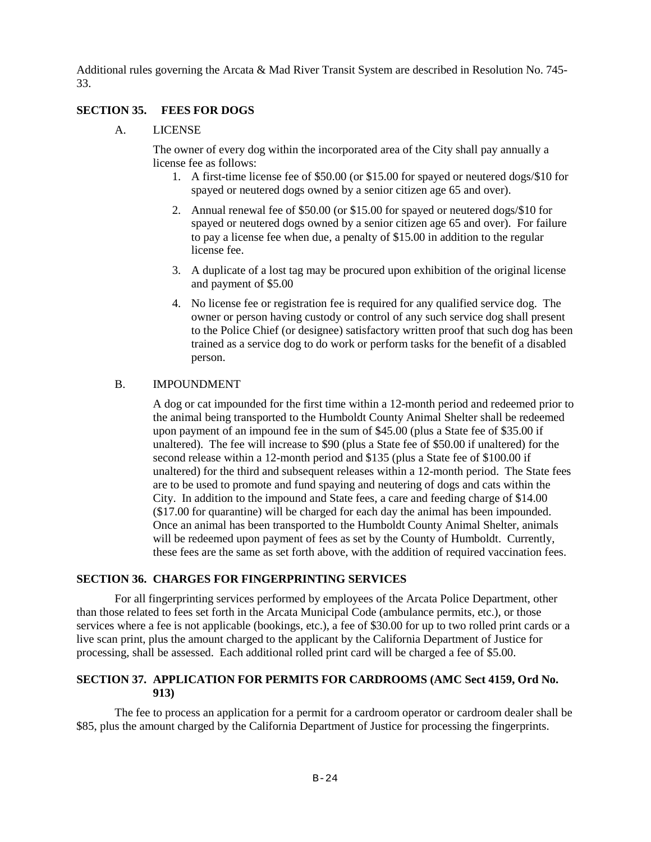Additional rules governing the Arcata & Mad River Transit System are described in Resolution No. 745- 33.

# **SECTION 35. FEES FOR DOGS**

A. LICENSE

The owner of every dog within the incorporated area of the City shall pay annually a license fee as follows:

- 1. A first-time license fee of \$50.00 (or \$15.00 for spayed or neutered dogs/\$10 for spayed or neutered dogs owned by a senior citizen age 65 and over).
- 2. Annual renewal fee of \$50.00 (or \$15.00 for spayed or neutered dogs/\$10 for spayed or neutered dogs owned by a senior citizen age 65 and over). For failure to pay a license fee when due, a penalty of \$15.00 in addition to the regular license fee.
- 3. A duplicate of a lost tag may be procured upon exhibition of the original license and payment of \$5.00
- 4. No license fee or registration fee is required for any qualified service dog. The owner or person having custody or control of any such service dog shall present to the Police Chief (or designee) satisfactory written proof that such dog has been trained as a service dog to do work or perform tasks for the benefit of a disabled person.

### B. IMPOUNDMENT

A dog or cat impounded for the first time within a 12-month period and redeemed prior to the animal being transported to the Humboldt County Animal Shelter shall be redeemed upon payment of an impound fee in the sum of \$45.00 (plus a State fee of \$35.00 if unaltered). The fee will increase to \$90 (plus a State fee of \$50.00 if unaltered) for the second release within a 12-month period and \$135 (plus a State fee of \$100.00 if unaltered) for the third and subsequent releases within a 12-month period. The State fees are to be used to promote and fund spaying and neutering of dogs and cats within the City. In addition to the impound and State fees, a care and feeding charge of \$14.00 (\$17.00 for quarantine) will be charged for each day the animal has been impounded. Once an animal has been transported to the Humboldt County Animal Shelter, animals will be redeemed upon payment of fees as set by the County of Humboldt. Currently, these fees are the same as set forth above, with the addition of required vaccination fees.

### **SECTION 36. CHARGES FOR FINGERPRINTING SERVICES**

For all fingerprinting services performed by employees of the Arcata Police Department, other than those related to fees set forth in the Arcata Municipal Code (ambulance permits, etc.), or those services where a fee is not applicable (bookings, etc.), a fee of \$30.00 for up to two rolled print cards or a live scan print, plus the amount charged to the applicant by the California Department of Justice for processing, shall be assessed. Each additional rolled print card will be charged a fee of \$5.00.

### **SECTION 37. APPLICATION FOR PERMITS FOR CARDROOMS (AMC Sect 4159, Ord No. 913)**

The fee to process an application for a permit for a cardroom operator or cardroom dealer shall be \$85, plus the amount charged by the California Department of Justice for processing the fingerprints.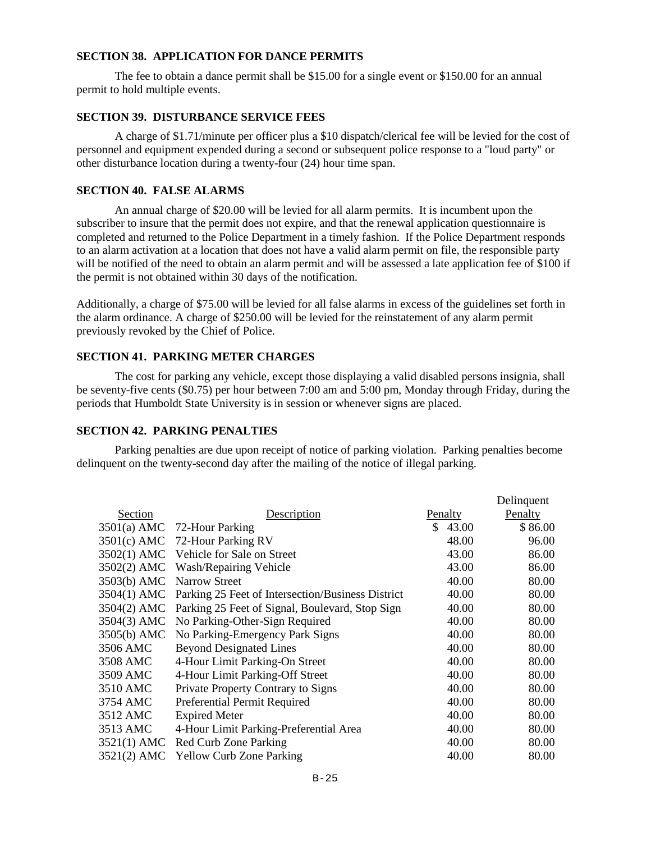### **SECTION 38. APPLICATION FOR DANCE PERMITS**

 The fee to obtain a dance permit shall be \$15.00 for a single event or \$150.00 for an annual permit to hold multiple events.

# **SECTION 39. DISTURBANCE SERVICE FEES**

 A charge of \$1.71/minute per officer plus a \$10 dispatch/clerical fee will be levied for the cost of personnel and equipment expended during a second or subsequent police response to a "loud party" or other disturbance location during a twenty-four (24) hour time span.

# **SECTION 40. FALSE ALARMS**

 An annual charge of \$20.00 will be levied for all alarm permits. It is incumbent upon the subscriber to insure that the permit does not expire, and that the renewal application questionnaire is completed and returned to the Police Department in a timely fashion. If the Police Department responds to an alarm activation at a location that does not have a valid alarm permit on file, the responsible party will be notified of the need to obtain an alarm permit and will be assessed a late application fee of \$100 if the permit is not obtained within 30 days of the notification.

Additionally, a charge of \$75.00 will be levied for all false alarms in excess of the guidelines set forth in the alarm ordinance. A charge of \$250.00 will be levied for the reinstatement of any alarm permit previously revoked by the Chief of Police.

# **SECTION 41. PARKING METER CHARGES**

The cost for parking any vehicle, except those displaying a valid disabled persons insignia, shall be seventy-five cents (\$0.75) per hour between 7:00 am and 5:00 pm, Monday through Friday, during the periods that Humboldt State University is in session or whenever signs are placed.

# **SECTION 42. PARKING PENALTIES**

 Parking penalties are due upon receipt of notice of parking violation. Parking penalties become delinquent on the twenty-second day after the mailing of the notice of illegal parking.

|               |                                                   |                | Delinquent |
|---------------|---------------------------------------------------|----------------|------------|
| Section       | <b>Description</b>                                | <b>Penalty</b> | Penalty    |
|               | 3501(a) AMC 72-Hour Parking                       | S.<br>43.00    | \$86.00    |
|               | 3501(c) AMC 72-Hour Parking RV                    | 48.00          | 96.00      |
|               | 3502(1) AMC Vehicle for Sale on Street            | 43.00          | 86.00      |
| 3502(2) AMC   | Wash/Repairing Vehicle                            | 43.00          | 86.00      |
| 3503(b) AMC   | Narrow Street                                     | 40.00          | 80.00      |
| 3504(1) AMC   | Parking 25 Feet of Intersection/Business District | 40.00          | 80.00      |
| 3504(2) AMC   | Parking 25 Feet of Signal, Boulevard, Stop Sign   | 40.00          | 80.00      |
|               | 3504(3) AMC No Parking-Other-Sign Required        | 40.00          | 80.00      |
|               | 3505(b) AMC No Parking-Emergency Park Signs       | 40.00          | 80.00      |
| 3506 AMC      | <b>Beyond Designated Lines</b>                    | 40.00          | 80.00      |
| 3508 AMC      | 4-Hour Limit Parking-On Street                    | 40.00          | 80.00      |
| 3509 AMC      | 4-Hour Limit Parking-Off Street                   | 40.00          | 80.00      |
| 3510 AMC      | Private Property Contrary to Signs                | 40.00          | 80.00      |
| 3754 AMC      | Preferential Permit Required                      | 40.00          | 80.00      |
| 3512 AMC      | <b>Expired Meter</b>                              | 40.00          | 80.00      |
| 3513 AMC      | 4-Hour Limit Parking-Preferential Area            | 40.00          | 80.00      |
| $3521(1)$ AMC | Red Curb Zone Parking                             | 40.00          | 80.00      |
|               | 3521(2) AMC Yellow Curb Zone Parking              | 40.00          | 80.00      |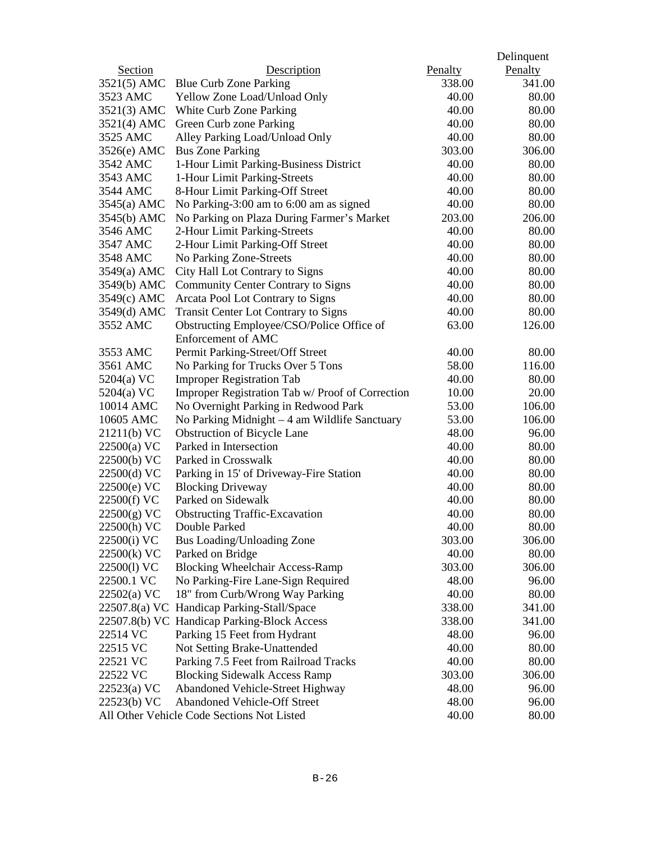|                |                                                  |         | Delinquent |
|----------------|--------------------------------------------------|---------|------------|
| <b>Section</b> | Description                                      | Penalty | Penalty    |
| 3521(5) AMC    | <b>Blue Curb Zone Parking</b>                    | 338.00  | 341.00     |
| 3523 AMC       | Yellow Zone Load/Unload Only                     | 40.00   | 80.00      |
| 3521(3) AMC    | White Curb Zone Parking                          | 40.00   | 80.00      |
| 3521(4) AMC    | Green Curb zone Parking                          | 40.00   | 80.00      |
| 3525 AMC       | Alley Parking Load/Unload Only                   | 40.00   | 80.00      |
| $3526(e)$ AMC  | <b>Bus Zone Parking</b>                          | 303.00  | 306.00     |
| 3542 AMC       | 1-Hour Limit Parking-Business District           | 40.00   | 80.00      |
| 3543 AMC       | 1-Hour Limit Parking-Streets                     | 40.00   | 80.00      |
| 3544 AMC       | 8-Hour Limit Parking-Off Street                  | 40.00   | 80.00      |
| $3545(a)$ AMC  | No Parking-3:00 am to 6:00 am as signed          | 40.00   | 80.00      |
| 3545(b) AMC    | No Parking on Plaza During Farmer's Market       | 203.00  | 206.00     |
| 3546 AMC       | 2-Hour Limit Parking-Streets                     | 40.00   | 80.00      |
| 3547 AMC       | 2-Hour Limit Parking-Off Street                  | 40.00   | 80.00      |
| 3548 AMC       | No Parking Zone-Streets                          | 40.00   | 80.00      |
| 3549(a) AMC    | City Hall Lot Contrary to Signs                  | 40.00   | 80.00      |
| 3549(b) AMC    | Community Center Contrary to Signs               | 40.00   | 80.00      |
| 3549(c) AMC    | Arcata Pool Lot Contrary to Signs                | 40.00   | 80.00      |
| 3549(d) AMC    | <b>Transit Center Lot Contrary to Signs</b>      | 40.00   | 80.00      |
| 3552 AMC       | Obstructing Employee/CSO/Police Office of        | 63.00   | 126.00     |
|                | Enforcement of AMC                               |         |            |
| 3553 AMC       | Permit Parking-Street/Off Street                 | 40.00   | 80.00      |
| 3561 AMC       | No Parking for Trucks Over 5 Tons                | 58.00   | 116.00     |
| 5204(a) VC     | <b>Improper Registration Tab</b>                 | 40.00   | 80.00      |
| 5204(a) VC     | Improper Registration Tab w/ Proof of Correction | 10.00   | 20.00      |
| 10014 AMC      | No Overnight Parking in Redwood Park             | 53.00   | 106.00     |
| 10605 AMC      | No Parking Midnight - 4 am Wildlife Sanctuary    | 53.00   | 106.00     |
| 21211(b) VC    | <b>Obstruction of Bicycle Lane</b>               | 48.00   | 96.00      |
| $22500(a)$ VC  | Parked in Intersection                           | 40.00   | 80.00      |
| 22500(b) VC    | Parked in Crosswalk                              | 40.00   | 80.00      |
| 22500(d) VC    | Parking in 15' of Driveway-Fire Station          | 40.00   | 80.00      |
| 22500(e) VC    | <b>Blocking Driveway</b>                         | 40.00   | 80.00      |
| 22500(f) VC    | Parked on Sidewalk                               | 40.00   | 80.00      |
| 22500(g) VC    | <b>Obstructing Traffic-Excavation</b>            | 40.00   | 80.00      |
| 22500(h) VC    | Double Parked                                    | 40.00   | 80.00      |
| 22500(i) VC    | Bus Loading/Unloading Zone                       | 303.00  | 306.00     |
| 22500(k) VC    | Parked on Bridge                                 | 40.00   | 80.00      |
| 22500(1) VC    | <b>Blocking Wheelchair Access-Ramp</b>           | 303.00  | 306.00     |
| 22500.1 VC     | No Parking-Fire Lane-Sign Required               | 48.00   | 96.00      |
| $22502(a)$ VC  | 18" from Curb/Wrong Way Parking                  | 40.00   | 80.00      |
| 22507.8(a) VC  | Handicap Parking-Stall/Space                     | 338.00  | 341.00     |
|                | 22507.8(b) VC Handicap Parking-Block Access      | 338.00  | 341.00     |
| 22514 VC       | Parking 15 Feet from Hydrant                     | 48.00   | 96.00      |
| 22515 VC       | Not Setting Brake-Unattended                     | 40.00   | 80.00      |
| 22521 VC       | Parking 7.5 Feet from Railroad Tracks            | 40.00   | 80.00      |
| 22522 VC       | <b>Blocking Sidewalk Access Ramp</b>             | 303.00  | 306.00     |
| $22523(a)$ VC  | Abandoned Vehicle-Street Highway                 | 48.00   | 96.00      |
| 22523(b) VC    | <b>Abandoned Vehicle-Off Street</b>              | 48.00   | 96.00      |
|                | All Other Vehicle Code Sections Not Listed       | 40.00   | 80.00      |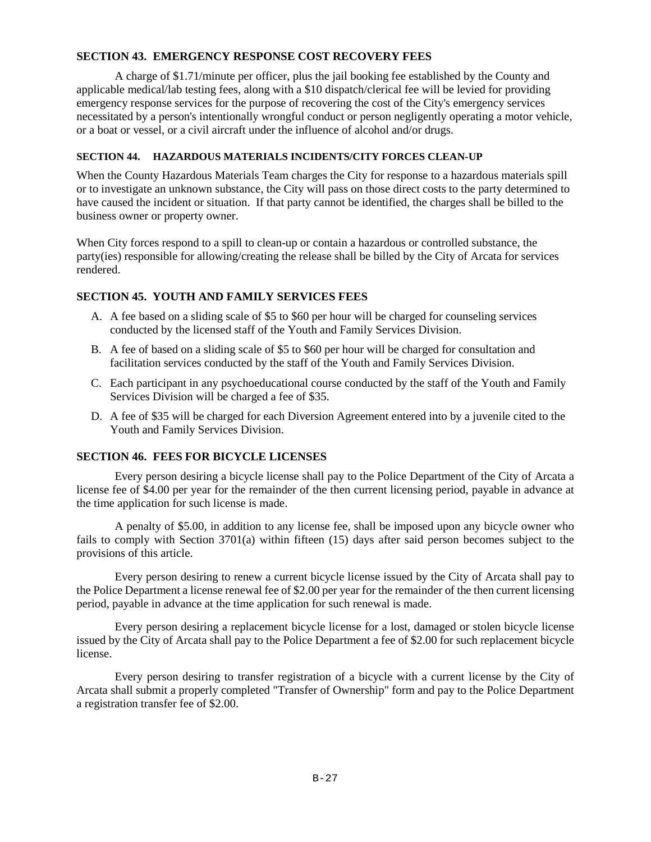# **SECTION 43. EMERGENCY RESPONSE COST RECOVERY FEES**

 A charge of \$1.71/minute per officer, plus the jail booking fee established by the County and applicable medical/lab testing fees, along with a \$10 dispatch/clerical fee will be levied for providing emergency response services for the purpose of recovering the cost of the City's emergency services necessitated by a person's intentionally wrongful conduct or person negligently operating a motor vehicle, or a boat or vessel, or a civil aircraft under the influence of alcohol and/or drugs.

### **SECTION 44. HAZARDOUS MATERIALS INCIDENTS/CITY FORCES CLEAN-UP**

When the County Hazardous Materials Team charges the City for response to a hazardous materials spill or to investigate an unknown substance, the City will pass on those direct costs to the party determined to have caused the incident or situation. If that party cannot be identified, the charges shall be billed to the business owner or property owner.

When City forces respond to a spill to clean-up or contain a hazardous or controlled substance, the party(ies) responsible for allowing/creating the release shall be billed by the City of Arcata for services rendered.

# **SECTION 45. YOUTH AND FAMILY SERVICES FEES**

- A. A fee based on a sliding scale of \$5 to \$60 per hour will be charged for counseling services conducted by the licensed staff of the Youth and Family Services Division.
- B. A fee of based on a sliding scale of \$5 to \$60 per hour will be charged for consultation and facilitation services conducted by the staff of the Youth and Family Services Division.
- C. Each participant in any psychoeducational course conducted by the staff of the Youth and Family Services Division will be charged a fee of \$35.
- D. A fee of \$35 will be charged for each Diversion Agreement entered into by a juvenile cited to the Youth and Family Services Division.

# **SECTION 46. FEES FOR BICYCLE LICENSES**

Every person desiring a bicycle license shall pay to the Police Department of the City of Arcata a license fee of \$4.00 per year for the remainder of the then current licensing period, payable in advance at the time application for such license is made.

A penalty of \$5.00, in addition to any license fee, shall be imposed upon any bicycle owner who fails to comply with Section 3701(a) within fifteen (15) days after said person becomes subject to the provisions of this article.

Every person desiring to renew a current bicycle license issued by the City of Arcata shall pay to the Police Department a license renewal fee of \$2.00 per year for the remainder of the then current licensing period, payable in advance at the time application for such renewal is made.

Every person desiring a replacement bicycle license for a lost, damaged or stolen bicycle license issued by the City of Arcata shall pay to the Police Department a fee of \$2.00 for such replacement bicycle license.

Every person desiring to transfer registration of a bicycle with a current license by the City of Arcata shall submit a properly completed "Transfer of Ownership" form and pay to the Police Department a registration transfer fee of \$2.00.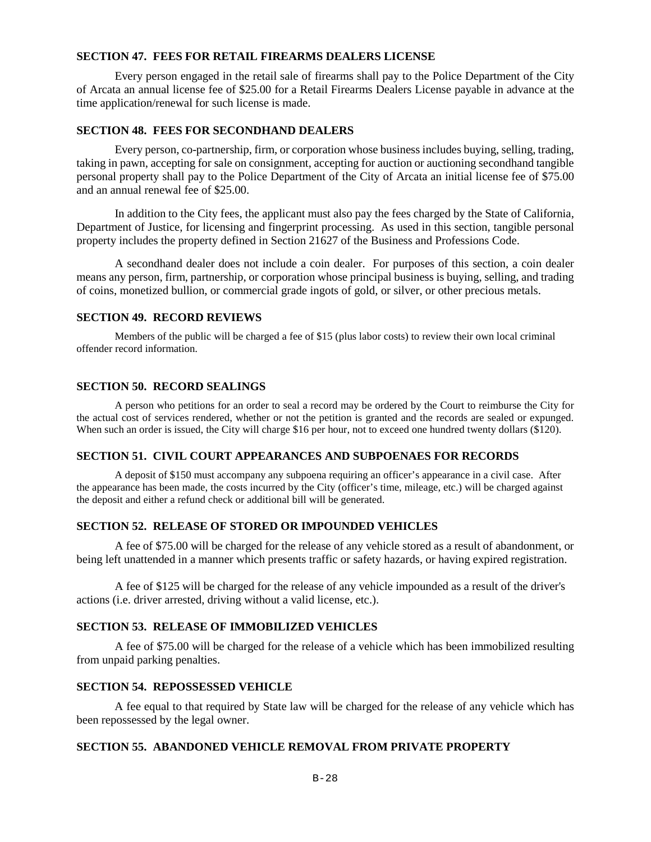### **SECTION 47. FEES FOR RETAIL FIREARMS DEALERS LICENSE**

Every person engaged in the retail sale of firearms shall pay to the Police Department of the City of Arcata an annual license fee of \$25.00 for a Retail Firearms Dealers License payable in advance at the time application/renewal for such license is made.

### **SECTION 48. FEES FOR SECONDHAND DEALERS**

Every person, co-partnership, firm, or corporation whose business includes buying, selling, trading, taking in pawn, accepting for sale on consignment, accepting for auction or auctioning secondhand tangible personal property shall pay to the Police Department of the City of Arcata an initial license fee of \$75.00 and an annual renewal fee of \$25.00.

In addition to the City fees, the applicant must also pay the fees charged by the State of California, Department of Justice, for licensing and fingerprint processing. As used in this section, tangible personal property includes the property defined in Section 21627 of the Business and Professions Code.

A secondhand dealer does not include a coin dealer. For purposes of this section, a coin dealer means any person, firm, partnership, or corporation whose principal business is buying, selling, and trading of coins, monetized bullion, or commercial grade ingots of gold, or silver, or other precious metals.

### **SECTION 49. RECORD REVIEWS**

Members of the public will be charged a fee of \$15 (plus labor costs) to review their own local criminal offender record information.

# **SECTION 50. RECORD SEALINGS**

A person who petitions for an order to seal a record may be ordered by the Court to reimburse the City for the actual cost of services rendered, whether or not the petition is granted and the records are sealed or expunged. When such an order is issued, the City will charge \$16 per hour, not to exceed one hundred twenty dollars (\$120).

# **SECTION 51. CIVIL COURT APPEARANCES AND SUBPOENAES FOR RECORDS**

A deposit of \$150 must accompany any subpoena requiring an officer's appearance in a civil case. After the appearance has been made, the costs incurred by the City (officer's time, mileage, etc.) will be charged against the deposit and either a refund check or additional bill will be generated.

# **SECTION 52. RELEASE OF STORED OR IMPOUNDED VEHICLES**

A fee of \$75.00 will be charged for the release of any vehicle stored as a result of abandonment, or being left unattended in a manner which presents traffic or safety hazards, or having expired registration.

A fee of \$125 will be charged for the release of any vehicle impounded as a result of the driver's actions (i.e. driver arrested, driving without a valid license, etc.).

# **SECTION 53. RELEASE OF IMMOBILIZED VEHICLES**

A fee of \$75.00 will be charged for the release of a vehicle which has been immobilized resulting from unpaid parking penalties.

# **SECTION 54. REPOSSESSED VEHICLE**

A fee equal to that required by State law will be charged for the release of any vehicle which has been repossessed by the legal owner.

# **SECTION 55. ABANDONED VEHICLE REMOVAL FROM PRIVATE PROPERTY**